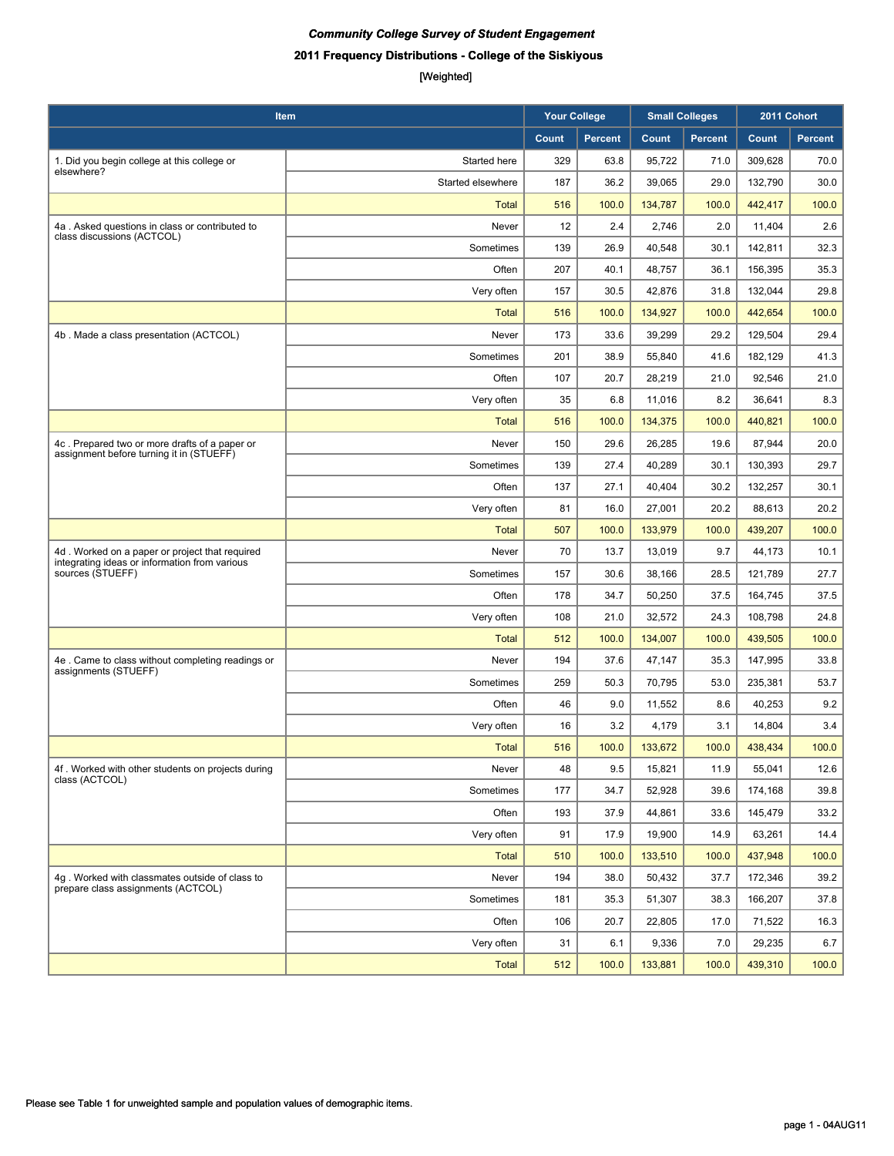| Item                                                                         |                   | <b>Your College</b> |                | <b>Small Colleges</b> |                | 2011 Cohort |                |
|------------------------------------------------------------------------------|-------------------|---------------------|----------------|-----------------------|----------------|-------------|----------------|
|                                                                              |                   | Count               | <b>Percent</b> | Count                 | <b>Percent</b> | Count       | <b>Percent</b> |
| 1. Did you begin college at this college or<br>elsewhere?                    | Started here      | 329                 | 63.8           | 95,722                | 71.0           | 309,628     | 70.0           |
|                                                                              | Started elsewhere | 187                 | 36.2           | 39,065                | 29.0           | 132,790     | 30.0           |
|                                                                              | <b>Total</b>      | 516                 | 100.0          | 134,787               | 100.0          | 442,417     | 100.0          |
| 4a. Asked questions in class or contributed to<br>class discussions (ACTCOL) | Never             | 12                  | 2.4            | 2,746                 | 2.0            | 11,404      | 2.6            |
|                                                                              | Sometimes         | 139                 | 26.9           | 40,548                | 30.1           | 142,811     | 32.3           |
|                                                                              | Often             | 207                 | 40.1           | 48,757                | 36.1           | 156,395     | 35.3           |
|                                                                              | Very often        | 157                 | 30.5           | 42,876                | 31.8           | 132,044     | 29.8           |
|                                                                              | <b>Total</b>      | 516                 | 100.0          | 134,927               | 100.0          | 442,654     | 100.0          |
| 4b. Made a class presentation (ACTCOL)                                       | Never             | 173                 | 33.6           | 39,299                | 29.2           | 129,504     | 29.4           |
|                                                                              | Sometimes         | 201                 | 38.9           | 55,840                | 41.6           | 182,129     | 41.3           |
|                                                                              | Often             | 107                 | 20.7           | 28,219                | 21.0           | 92,546      | 21.0           |
|                                                                              | Very often        | 35                  | 6.8            | 11,016                | 8.2            | 36,641      | 8.3            |
|                                                                              | <b>Total</b>      | 516                 | 100.0          | 134,375               | 100.0          | 440,821     | 100.0          |
| 4c. Prepared two or more drafts of a paper or                                | Never             | 150                 | 29.6           | 26,285                | 19.6           | 87,944      | 20.0           |
| assignment before turning it in (STUEFF)                                     | Sometimes         | 139                 | 27.4           | 40,289                | 30.1           | 130,393     | 29.7           |
|                                                                              | Often             | 137                 | 27.1           | 40,404                | 30.2           | 132,257     | 30.1           |
|                                                                              | Very often        | 81                  | 16.0           | 27,001                | 20.2           | 88,613      | 20.2           |
|                                                                              | <b>Total</b>      | 507                 | 100.0          | 133,979               | 100.0          | 439,207     | 100.0          |
| 4d. Worked on a paper or project that required                               | Never             | 70                  | 13.7           | 13,019                | 9.7            | 44,173      | 10.1           |
| integrating ideas or information from various<br>sources (STUEFF)            | Sometimes         | 157                 | 30.6           | 38,166                | 28.5           | 121,789     | 27.7           |
|                                                                              | Often             | 178                 | 34.7           | 50,250                | 37.5           | 164,745     | 37.5           |
|                                                                              | Very often        | 108                 | 21.0           | 32,572                | 24.3           | 108,798     | 24.8           |
|                                                                              | <b>Total</b>      | 512                 | 100.0          | 134,007               | 100.0          | 439,505     | 100.0          |
| 4e. Came to class without completing readings or                             | Never             | 194                 | 37.6           | 47,147                | 35.3           | 147,995     | 33.8           |
| assignments (STUEFF)                                                         | Sometimes         | 259                 | 50.3           | 70,795                | 53.0           | 235,381     | 53.7           |
|                                                                              | Often             | 46                  | 9.0            | 11,552                | 8.6            | 40,253      | 9.2            |
|                                                                              | Very often        | 16                  | 3.2            | 4,179                 | 3.1            | 14,804      | 3.4            |
|                                                                              | <b>Total</b>      | 516                 | 100.0          | 133,672               | 100.0          | 438,434     | 100.0          |
| 4f. Worked with other students on projects during                            | Never             | 48                  | 9.5            | 15,821                | 11.9           | 55,041      | 12.6           |
| class (ACTCOL)                                                               | Sometimes         | 177                 | 34.7           | 52,928                | 39.6           | 174,168     | 39.8           |
|                                                                              | Often             | 193                 | 37.9           | 44,861                | 33.6           | 145,479     | 33.2           |
|                                                                              | Very often        | 91                  | 17.9           | 19,900                | 14.9           | 63,261      | 14.4           |
|                                                                              | <b>Total</b>      | 510                 | 100.0          | 133,510               | 100.0          | 437,948     | 100.0          |
| 4g. Worked with classmates outside of class to                               | Never             | 194                 | 38.0           | 50,432                | 37.7           | 172,346     | 39.2           |
| prepare class assignments (ACTCOL)                                           | Sometimes         | 181                 | 35.3           | 51,307                | 38.3           | 166,207     | 37.8           |
|                                                                              | Often             | 106                 | 20.7           | 22,805                | 17.0           | 71,522      | 16.3           |
|                                                                              | Very often        | 31                  | 6.1            | 9,336                 | 7.0            | 29,235      | 6.7            |
|                                                                              | <b>Total</b>      | 512                 | 100.0          | 133,881               | 100.0          | 439,310     | 100.0          |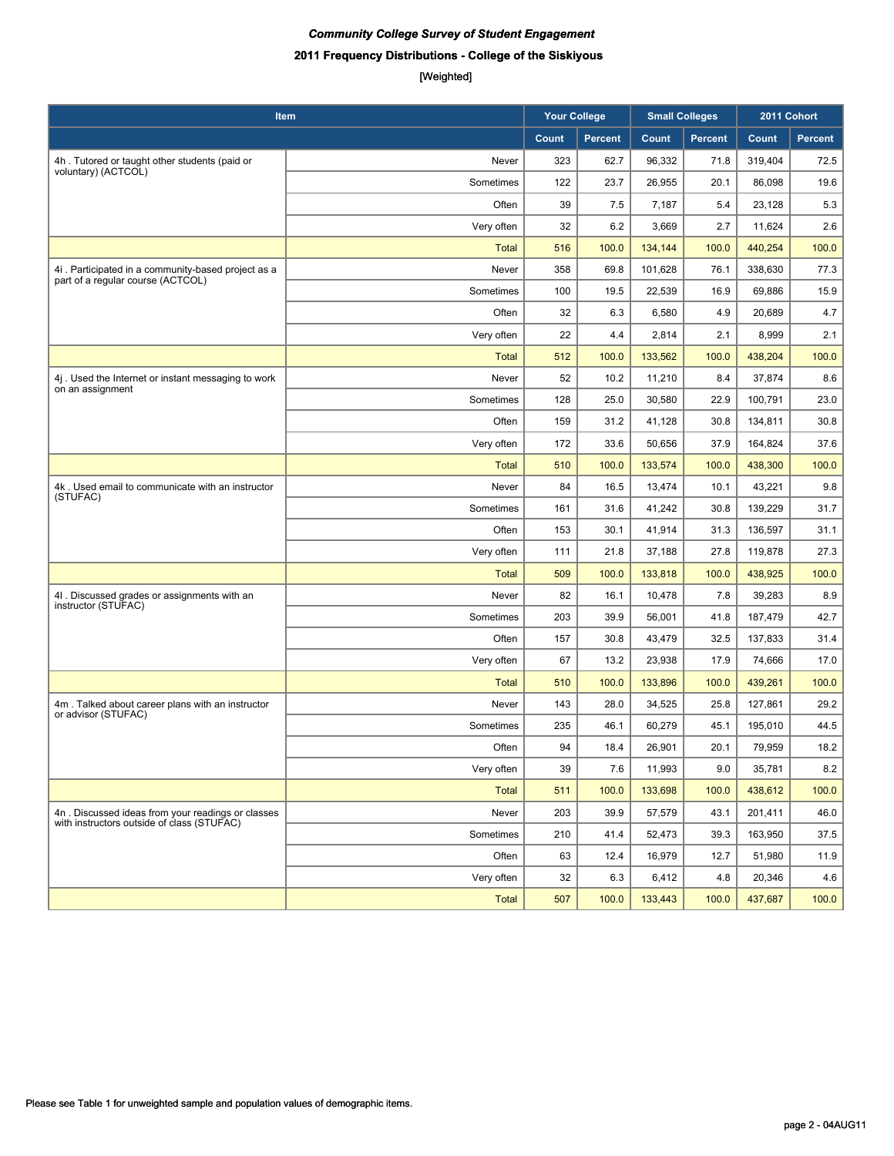| Item                                                                                             |              | <b>Your College</b> |                | <b>Small Colleges</b> |                | 2011 Cohort |                |
|--------------------------------------------------------------------------------------------------|--------------|---------------------|----------------|-----------------------|----------------|-------------|----------------|
|                                                                                                  |              | Count               | <b>Percent</b> | Count                 | <b>Percent</b> | Count       | <b>Percent</b> |
| 4h. Tutored or taught other students (paid or<br>voluntary) (ACTCOL)                             | Never        | 323                 | 62.7           | 96,332                | 71.8           | 319,404     | 72.5           |
|                                                                                                  | Sometimes    | 122                 | 23.7           | 26,955                | 20.1           | 86,098      | 19.6           |
|                                                                                                  | Often        | 39                  | 7.5            | 7,187                 | 5.4            | 23,128      | 5.3            |
|                                                                                                  | Very often   | 32                  | 6.2            | 3,669                 | 2.7            | 11,624      | 2.6            |
|                                                                                                  | <b>Total</b> | 516                 | 100.0          | 134,144               | 100.0          | 440,254     | 100.0          |
| 4i. Participated in a community-based project as a<br>part of a regular course (ACTCOL)          | Never        | 358                 | 69.8           | 101.628               | 76.1           | 338,630     | 77.3           |
|                                                                                                  | Sometimes    | 100                 | 19.5           | 22,539                | 16.9           | 69,886      | 15.9           |
|                                                                                                  | Often        | 32                  | 6.3            | 6,580                 | 4.9            | 20,689      | 4.7            |
|                                                                                                  | Very often   | 22                  | 4.4            | 2,814                 | 2.1            | 8,999       | 2.1            |
|                                                                                                  | <b>Total</b> | 512                 | 100.0          | 133,562               | 100.0          | 438,204     | 100.0          |
| 4j. Used the Internet or instant messaging to work<br>on an assignment                           | Never        | 52                  | 10.2           | 11,210                | 8.4            | 37,874      | 8.6            |
|                                                                                                  | Sometimes    | 128                 | 25.0           | 30,580                | 22.9           | 100,791     | 23.0           |
|                                                                                                  | Often        | 159                 | 31.2           | 41,128                | 30.8           | 134,811     | 30.8           |
|                                                                                                  | Very often   | 172                 | 33.6           | 50,656                | 37.9           | 164,824     | 37.6           |
|                                                                                                  | <b>Total</b> | 510                 | 100.0          | 133,574               | 100.0          | 438,300     | 100.0          |
| 4k. Used email to communicate with an instructor<br>(STUFAC)                                     | Never        | 84                  | 16.5           | 13,474                | 10.1           | 43,221      | 9.8            |
|                                                                                                  | Sometimes    | 161                 | 31.6           | 41,242                | 30.8           | 139,229     | 31.7           |
|                                                                                                  | Often        | 153                 | 30.1           | 41,914                | 31.3           | 136,597     | 31.1           |
|                                                                                                  | Very often   | 111                 | 21.8           | 37,188                | 27.8           | 119,878     | 27.3           |
|                                                                                                  | Total        | 509                 | 100.0          | 133,818               | 100.0          | 438,925     | 100.0          |
| 4I . Discussed grades or assignments with an<br>instructor (STUFAC)                              | Never        | 82                  | 16.1           | 10,478                | 7.8            | 39,283      | 8.9            |
|                                                                                                  | Sometimes    | 203                 | 39.9           | 56,001                | 41.8           | 187,479     | 42.7           |
|                                                                                                  | Often        | 157                 | 30.8           | 43,479                | 32.5           | 137,833     | 31.4           |
|                                                                                                  | Very often   | 67                  | 13.2           | 23,938                | 17.9           | 74,666      | 17.0           |
|                                                                                                  | <b>Total</b> | 510                 | 100.0          | 133,896               | 100.0          | 439,261     | 100.0          |
| 4m. Talked about career plans with an instructor<br>or advisor (STUFAC)                          | Never        | 143                 | 28.0           | 34,525                | 25.8           | 127,861     | 29.2           |
|                                                                                                  | Sometimes    | 235                 | 46.1           | 60,279                | 45.1           | 195,010     | 44.5           |
|                                                                                                  | Often        | 94                  | 18.4           | 26,901                | 20.1           | 79,959      | 18.2           |
|                                                                                                  | Very often   | 39                  | 7.6            | 11,993                | 9.0            | 35,781      | 8.2            |
|                                                                                                  | <b>Total</b> | 511                 | 100.0          | 133,698               | 100.0          | 438,612     | 100.0          |
| 4n . Discussed ideas from your readings or classes<br>with instructors outside of class (STUFAC) | Never        | 203                 | 39.9           | 57,579                | 43.1           | 201,411     | 46.0           |
|                                                                                                  | Sometimes    | 210                 | 41.4           | 52,473                | 39.3           | 163,950     | 37.5           |
|                                                                                                  | Often        | 63                  | 12.4           | 16,979                | 12.7           | 51,980      | 11.9           |
|                                                                                                  | Very often   | 32                  | 6.3            | 6,412                 | 4.8            | 20,346      | 4.6            |
|                                                                                                  | <b>Total</b> | 507                 | 100.0          | 133,443               | 100.0          | 437,687     | 100.0          |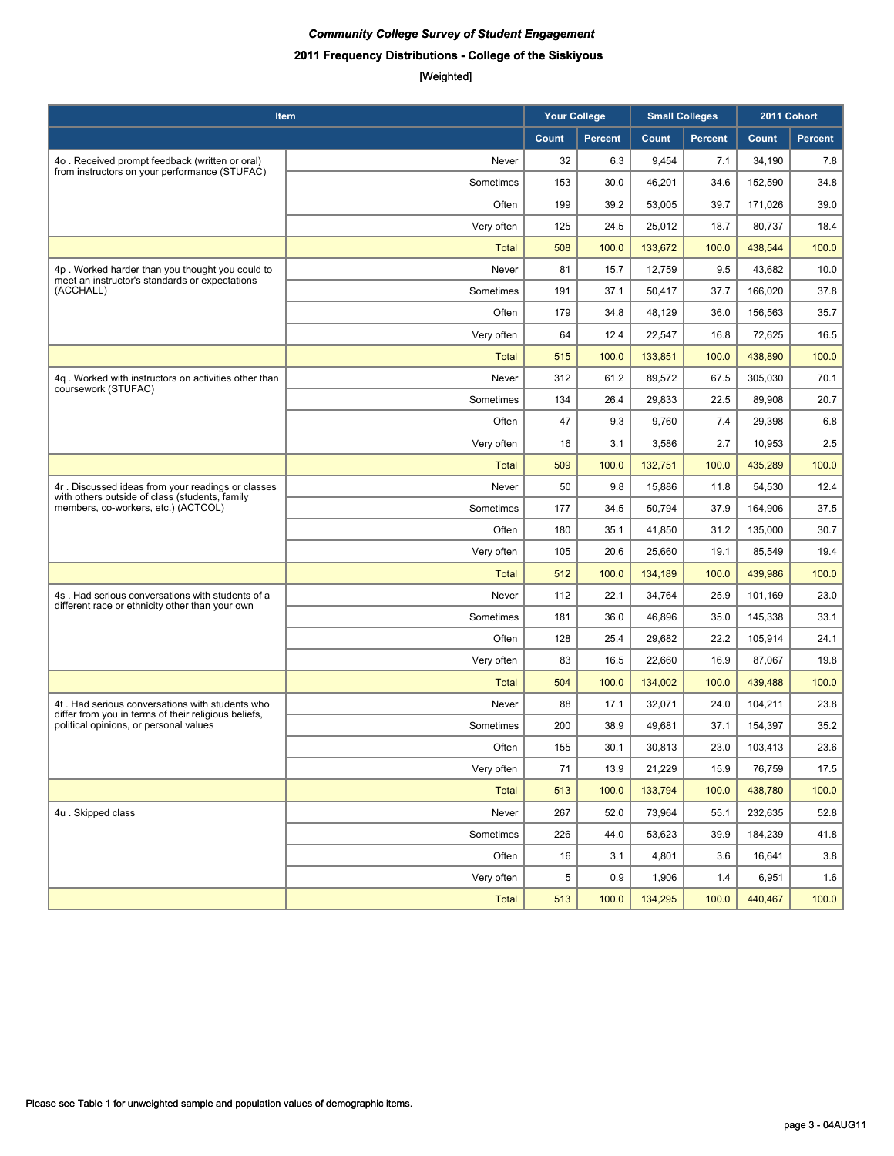| <b>Item</b>                                                                                             |              | <b>Your College</b> |                | <b>Small Colleges</b> |                | 2011 Cohort |         |
|---------------------------------------------------------------------------------------------------------|--------------|---------------------|----------------|-----------------------|----------------|-------------|---------|
|                                                                                                         |              | Count               | <b>Percent</b> | Count                 | <b>Percent</b> | Count       | Percent |
| 4o. Received prompt feedback (written or oral)                                                          | Never        | 32                  | 6.3            | 9,454                 | 7.1            | 34,190      | 7.8     |
| from instructors on your performance (STUFAC)                                                           | Sometimes    | 153                 | 30.0           | 46,201                | 34.6           | 152,590     | 34.8    |
|                                                                                                         | Often        | 199                 | 39.2           | 53,005                | 39.7           | 171,026     | 39.0    |
|                                                                                                         | Very often   | 125                 | 24.5           | 25,012                | 18.7           | 80,737      | 18.4    |
|                                                                                                         | <b>Total</b> | 508                 | 100.0          | 133,672               | 100.0          | 438,544     | 100.0   |
| 4p. Worked harder than you thought you could to                                                         | Never        | 81                  | 15.7           | 12,759                | 9.5            | 43,682      | 10.0    |
| meet an instructor's standards or expectations<br>(ACCHALL)                                             | Sometimes    | 191                 | 37.1           | 50,417                | 37.7           | 166,020     | 37.8    |
|                                                                                                         | Often        | 179                 | 34.8           | 48,129                | 36.0           | 156.563     | 35.7    |
|                                                                                                         | Very often   | 64                  | 12.4           | 22,547                | 16.8           | 72,625      | 16.5    |
|                                                                                                         | <b>Total</b> | 515                 | 100.0          | 133,851               | 100.0          | 438,890     | 100.0   |
| 4q. Worked with instructors on activities other than                                                    | Never        | 312                 | 61.2           | 89,572                | 67.5           | 305,030     | 70.1    |
| coursework (STUFAC)                                                                                     | Sometimes    | 134                 | 26.4           | 29,833                | 22.5           | 89,908      | 20.7    |
|                                                                                                         | Often        | 47                  | 9.3            | 9,760                 | 7.4            | 29,398      | 6.8     |
|                                                                                                         | Very often   | 16                  | 3.1            | 3,586                 | 2.7            | 10,953      | 2.5     |
|                                                                                                         | <b>Total</b> | 509                 | 100.0          | 132,751               | 100.0          | 435,289     | 100.0   |
| 4r. Discussed ideas from your readings or classes<br>with others outside of class (students, family     | Never        | 50                  | 9.8            | 15,886                | 11.8           | 54,530      | 12.4    |
| members, co-workers, etc.) (ACTCOL)                                                                     | Sometimes    | 177                 | 34.5           | 50,794                | 37.9           | 164,906     | 37.5    |
|                                                                                                         | Often        | 180                 | 35.1           | 41,850                | 31.2           | 135,000     | 30.7    |
|                                                                                                         | Very often   | 105                 | 20.6           | 25,660                | 19.1           | 85,549      | 19.4    |
|                                                                                                         | <b>Total</b> | 512                 | 100.0          | 134,189               | 100.0          | 439,986     | 100.0   |
| 4s. Had serious conversations with students of a                                                        | Never        | 112                 | 22.1           | 34,764                | 25.9           | 101,169     | 23.0    |
| different race or ethnicity other than your own                                                         | Sometimes    | 181                 | 36.0           | 46,896                | 35.0           | 145,338     | 33.1    |
|                                                                                                         | Often        | 128                 | 25.4           | 29,682                | 22.2           | 105,914     | 24.1    |
|                                                                                                         | Very often   | 83                  | 16.5           | 22,660                | 16.9           | 87,067      | 19.8    |
|                                                                                                         | <b>Total</b> | 504                 | 100.0          | 134,002               | 100.0          | 439,488     | 100.0   |
| 4t. Had serious conversations with students who<br>differ from you in terms of their religious beliefs, | Never        | 88                  | 17.1           | 32,071                | 24.0           | 104,211     | 23.8    |
| political opinions, or personal values                                                                  | Sometimes    | 200                 | 38.9           | 49,681                | 37.1           | 154,397     | 35.2    |
|                                                                                                         | Often        | 155                 | 30.1           | 30,813                | 23.0           | 103,413     | 23.6    |
|                                                                                                         | Very often   | 71                  | 13.9           | 21,229                | 15.9           | 76,759      | 17.5    |
|                                                                                                         | <b>Total</b> | 513                 | 100.0          | 133,794               | 100.0          | 438,780     | 100.0   |
| 4u. Skipped class                                                                                       | Never        | 267                 | 52.0           | 73,964                | 55.1           | 232,635     | 52.8    |
|                                                                                                         | Sometimes    | 226                 | 44.0           | 53,623                | 39.9           | 184,239     | 41.8    |
|                                                                                                         | Often        | 16                  | 3.1            | 4,801                 | 3.6            | 16,641      | 3.8     |
|                                                                                                         | Very often   | 5                   | 0.9            | 1,906                 | 1.4            | 6,951       | 1.6     |
|                                                                                                         | <b>Total</b> | 513                 | 100.0          | 134,295               | 100.0          | 440,467     | 100.0   |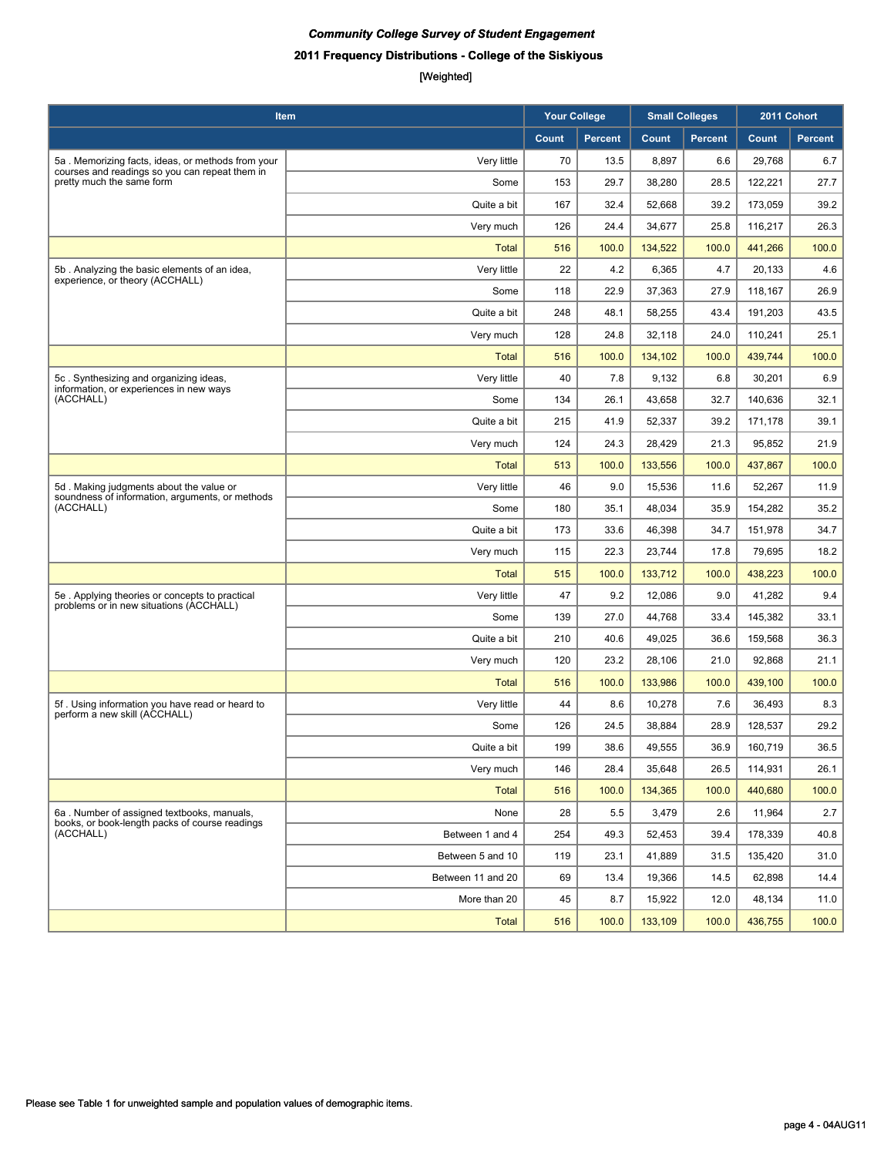| Item                                                                                                |                   | <b>Your College</b> |                | <b>Small Colleges</b> |                | 2011 Cohort |                |
|-----------------------------------------------------------------------------------------------------|-------------------|---------------------|----------------|-----------------------|----------------|-------------|----------------|
|                                                                                                     |                   | Count               | <b>Percent</b> | Count                 | <b>Percent</b> | Count       | <b>Percent</b> |
| 5a. Memorizing facts, ideas, or methods from your<br>courses and readings so you can repeat them in | Very little       | 70                  | 13.5           | 8,897                 | 6.6            | 29,768      | 6.7            |
| pretty much the same form                                                                           | Some              | 153                 | 29.7           | 38,280                | 28.5           | 122,221     | 27.7           |
|                                                                                                     | Quite a bit       | 167                 | 32.4           | 52,668                | 39.2           | 173,059     | 39.2           |
|                                                                                                     | Very much         | 126                 | 24.4           | 34,677                | 25.8           | 116,217     | 26.3           |
|                                                                                                     | <b>Total</b>      | 516                 | 100.0          | 134,522               | 100.0          | 441,266     | 100.0          |
| 5b. Analyzing the basic elements of an idea,<br>experience, or theory (ACCHALL)                     | Very little       | 22                  | 4.2            | 6,365                 | 4.7            | 20,133      | 4.6            |
|                                                                                                     | Some              | 118                 | 22.9           | 37,363                | 27.9           | 118,167     | 26.9           |
|                                                                                                     | Quite a bit       | 248                 | 48.1           | 58,255                | 43.4           | 191,203     | 43.5           |
|                                                                                                     | Very much         | 128                 | 24.8           | 32,118                | 24.0           | 110,241     | 25.1           |
|                                                                                                     | <b>Total</b>      | 516                 | 100.0          | 134,102               | 100.0          | 439,744     | 100.0          |
| 5c. Synthesizing and organizing ideas,<br>information, or experiences in new ways                   | Very little       | 40                  | 7.8            | 9,132                 | 6.8            | 30,201      | 6.9            |
| (ACCHALL)                                                                                           | Some              | 134                 | 26.1           | 43,658                | 32.7           | 140,636     | 32.1           |
|                                                                                                     | Quite a bit       | 215                 | 41.9           | 52,337                | 39.2           | 171,178     | 39.1           |
|                                                                                                     | Very much         | 124                 | 24.3           | 28,429                | 21.3           | 95,852      | 21.9           |
|                                                                                                     | <b>Total</b>      | 513                 | 100.0          | 133,556               | 100.0          | 437,867     | 100.0          |
| 5d. Making judgments about the value or<br>soundness of information, arguments, or methods          | Very little       | 46                  | 9.0            | 15,536                | 11.6           | 52,267      | 11.9           |
| (ACCHALL)                                                                                           | Some              | 180                 | 35.1           | 48,034                | 35.9           | 154,282     | 35.2           |
|                                                                                                     | Quite a bit       | 173                 | 33.6           | 46,398                | 34.7           | 151,978     | 34.7           |
|                                                                                                     | Very much         | 115                 | 22.3           | 23,744                | 17.8           | 79,695      | 18.2           |
|                                                                                                     | <b>Total</b>      | 515                 | 100.0          | 133,712               | 100.0          | 438,223     | 100.0          |
| 5e. Applying theories or concepts to practical<br>problems or in new situations (ACCHALL)           | Very little       | 47                  | 9.2            | 12,086                | 9.0            | 41,282      | 9.4            |
|                                                                                                     | Some              | 139                 | 27.0           | 44,768                | 33.4           | 145,382     | 33.1           |
|                                                                                                     | Quite a bit       | 210                 | 40.6           | 49,025                | 36.6           | 159,568     | 36.3           |
|                                                                                                     | Very much         | 120                 | 23.2           | 28,106                | 21.0           | 92,868      | 21.1           |
|                                                                                                     | <b>Total</b>      | 516                 | 100.0          | 133,986               | 100.0          | 439,100     | 100.0          |
| 5f. Using information you have read or heard to<br>perform a new skill (ACCHALL)                    | Very little       | 44                  | 8.6            | 10,278                | 7.6            | 36,493      | 8.3            |
|                                                                                                     | Some              | 126                 | 24.5           | 38,884                | 28.9           | 128,537     | 29.2           |
|                                                                                                     | Quite a bit       | 199                 | 38.6           | 49,555                | 36.9           | 160,719     | 36.5           |
|                                                                                                     | Very much         | 146                 | 28.4           | 35,648                | 26.5           | 114,931     | 26.1           |
|                                                                                                     | <b>Total</b>      | 516                 | 100.0          | 134,365               | 100.0          | 440,680     | 100.0          |
| 6a. Number of assigned textbooks, manuals,<br>books, or book-length packs of course readings        | None              | 28                  | 5.5            | 3,479                 | 2.6            | 11,964      | 2.7            |
| (ACCHALL)                                                                                           | Between 1 and 4   | 254                 | 49.3           | 52,453                | 39.4           | 178,339     | 40.8           |
|                                                                                                     | Between 5 and 10  | 119                 | 23.1           | 41,889                | 31.5           | 135,420     | 31.0           |
|                                                                                                     | Between 11 and 20 | 69                  | 13.4           | 19,366                | 14.5           | 62,898      | 14.4           |
|                                                                                                     | More than 20      | 45                  | 8.7            | 15,922                | 12.0           | 48,134      | 11.0           |
|                                                                                                     | <b>Total</b>      | 516                 | 100.0          | 133,109               | 100.0          | 436,755     | 100.0          |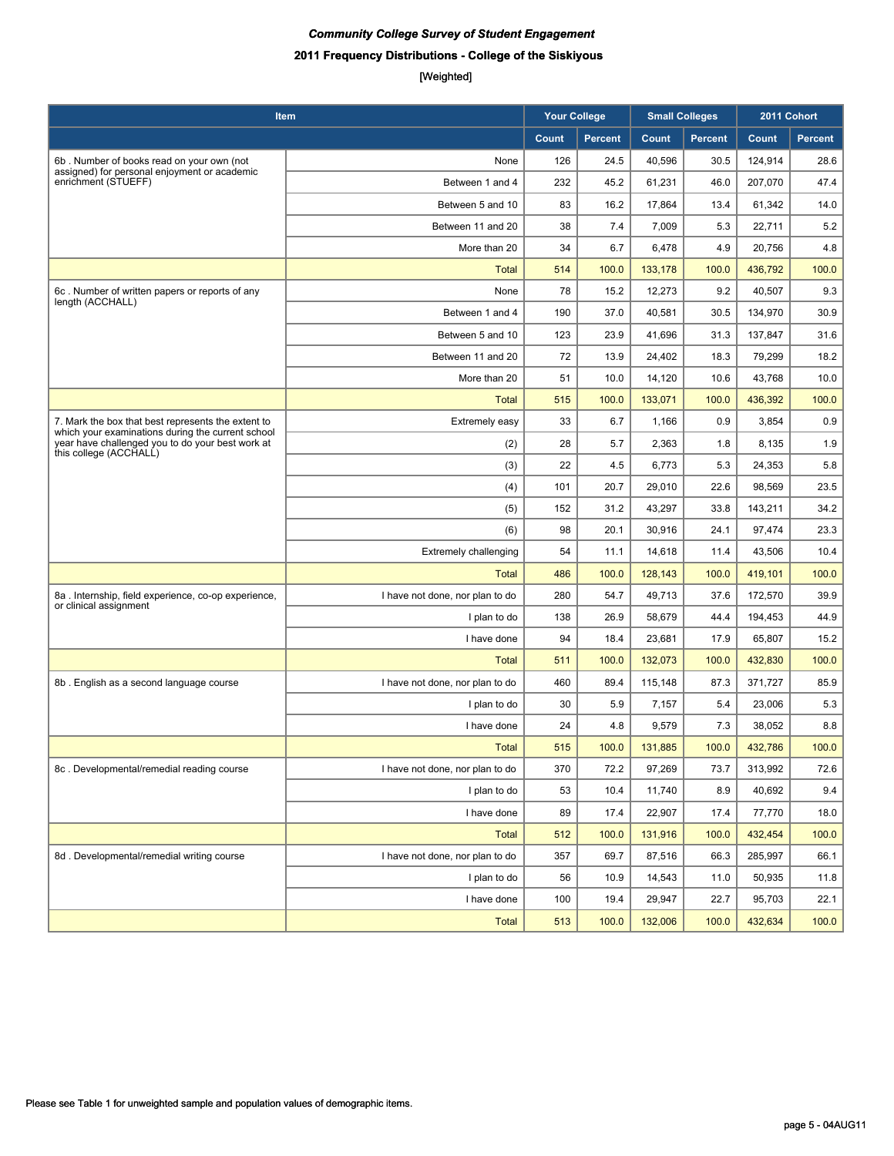| Item                                                                                                    |                                 | <b>Your College</b> |                | <b>Small Colleges</b> |                | 2011 Cohort |                |
|---------------------------------------------------------------------------------------------------------|---------------------------------|---------------------|----------------|-----------------------|----------------|-------------|----------------|
|                                                                                                         |                                 | Count               | <b>Percent</b> | Count                 | <b>Percent</b> | Count       | <b>Percent</b> |
| 6b. Number of books read on your own (not<br>assigned) for personal enjoyment or academic               | None                            | 126                 | 24.5           | 40,596                | 30.5           | 124,914     | 28.6           |
| enrichment (STUEFF)                                                                                     | Between 1 and 4                 | 232                 | 45.2           | 61,231                | 46.0           | 207,070     | 47.4           |
|                                                                                                         | Between 5 and 10                | 83                  | 16.2           | 17,864                | 13.4           | 61,342      | 14.0           |
|                                                                                                         | Between 11 and 20               | 38                  | 7.4            | 7,009                 | 5.3            | 22,711      | 5.2            |
|                                                                                                         | More than 20                    | 34                  | 6.7            | 6,478                 | 4.9            | 20,756      | 4.8            |
|                                                                                                         | <b>Total</b>                    | 514                 | 100.0          | 133,178               | 100.0          | 436,792     | 100.0          |
| 6c. Number of written papers or reports of any<br>length (ACCHALL)                                      | None                            | 78                  | 15.2           | 12,273                | 9.2            | 40,507      | 9.3            |
|                                                                                                         | Between 1 and 4                 | 190                 | 37.0           | 40,581                | 30.5           | 134,970     | 30.9           |
|                                                                                                         | Between 5 and 10                | 123                 | 23.9           | 41,696                | 31.3           | 137,847     | 31.6           |
|                                                                                                         | Between 11 and 20               | 72                  | 13.9           | 24,402                | 18.3           | 79,299      | 18.2           |
|                                                                                                         | More than 20                    | 51                  | 10.0           | 14,120                | 10.6           | 43,768      | 10.0           |
|                                                                                                         | <b>Total</b>                    | 515                 | 100.0          | 133,071               | 100.0          | 436,392     | 100.0          |
| 7. Mark the box that best represents the extent to<br>which your examinations during the current school | Extremely easy                  | 33                  | 6.7            | 1,166                 | 0.9            | 3,854       | 0.9            |
| year have challenged you to do your best work at<br>this college (ACCHALL)                              | (2)                             | 28                  | 5.7            | 2,363                 | 1.8            | 8,135       | 1.9            |
|                                                                                                         | (3)                             | 22                  | 4.5            | 6,773                 | 5.3            | 24,353      | 5.8            |
|                                                                                                         | (4)                             | 101                 | 20.7           | 29,010                | 22.6           | 98,569      | 23.5           |
|                                                                                                         | (5)                             | 152                 | 31.2           | 43,297                | 33.8           | 143,211     | 34.2           |
|                                                                                                         | (6)                             | 98                  | 20.1           | 30,916                | 24.1           | 97,474      | 23.3           |
|                                                                                                         | <b>Extremely challenging</b>    | 54                  | 11.1           | 14,618                | 11.4           | 43,506      | 10.4           |
|                                                                                                         | <b>Total</b>                    | 486                 | 100.0          | 128,143               | 100.0          | 419,101     | 100.0          |
| 8a. Internship, field experience, co-op experience,<br>or clinical assignment                           | I have not done, nor plan to do | 280                 | 54.7           | 49,713                | 37.6           | 172,570     | 39.9           |
|                                                                                                         | I plan to do                    | 138                 | 26.9           | 58,679                | 44.4           | 194,453     | 44.9           |
|                                                                                                         | I have done                     | 94                  | 18.4           | 23,681                | 17.9           | 65,807      | 15.2           |
|                                                                                                         | <b>Total</b>                    | 511                 | 100.0          | 132,073               | 100.0          | 432,830     | 100.0          |
| 8b. English as a second language course                                                                 | I have not done, nor plan to do | 460                 | 89.4           | 115,148               | 87.3           | 371,727     | 85.9           |
|                                                                                                         | I plan to do                    | 30                  | 5.9            | 7,157                 | 5.4            | 23,006      | 5.3            |
|                                                                                                         | I have done                     | 24                  | 4.8            | 9,579                 | 7.3            | 38,052      | 8.8            |
|                                                                                                         | <b>Total</b>                    | 515                 | 100.0          | 131,885               | 100.0          | 432,786     | 100.0          |
| 8c. Developmental/remedial reading course                                                               | I have not done, nor plan to do | 370                 | 72.2           | 97,269                | 73.7           | 313,992     | 72.6           |
|                                                                                                         | I plan to do                    | 53                  | 10.4           | 11,740                | 8.9            | 40,692      | 9.4            |
|                                                                                                         | I have done                     | 89                  | 17.4           | 22,907                | 17.4           | 77,770      | 18.0           |
|                                                                                                         | <b>Total</b>                    | 512                 | 100.0          | 131,916               | 100.0          | 432,454     | 100.0          |
| 8d. Developmental/remedial writing course                                                               | I have not done, nor plan to do | 357                 | 69.7           | 87,516                | 66.3           | 285,997     | 66.1           |
|                                                                                                         | I plan to do                    | 56                  | 10.9           | 14,543                | 11.0           | 50,935      | 11.8           |
|                                                                                                         | I have done                     | 100                 | 19.4           | 29,947                | 22.7           | 95,703      | 22.1           |
|                                                                                                         | Total                           | 513                 | 100.0          | 132,006               | 100.0          | 432,634     | 100.0          |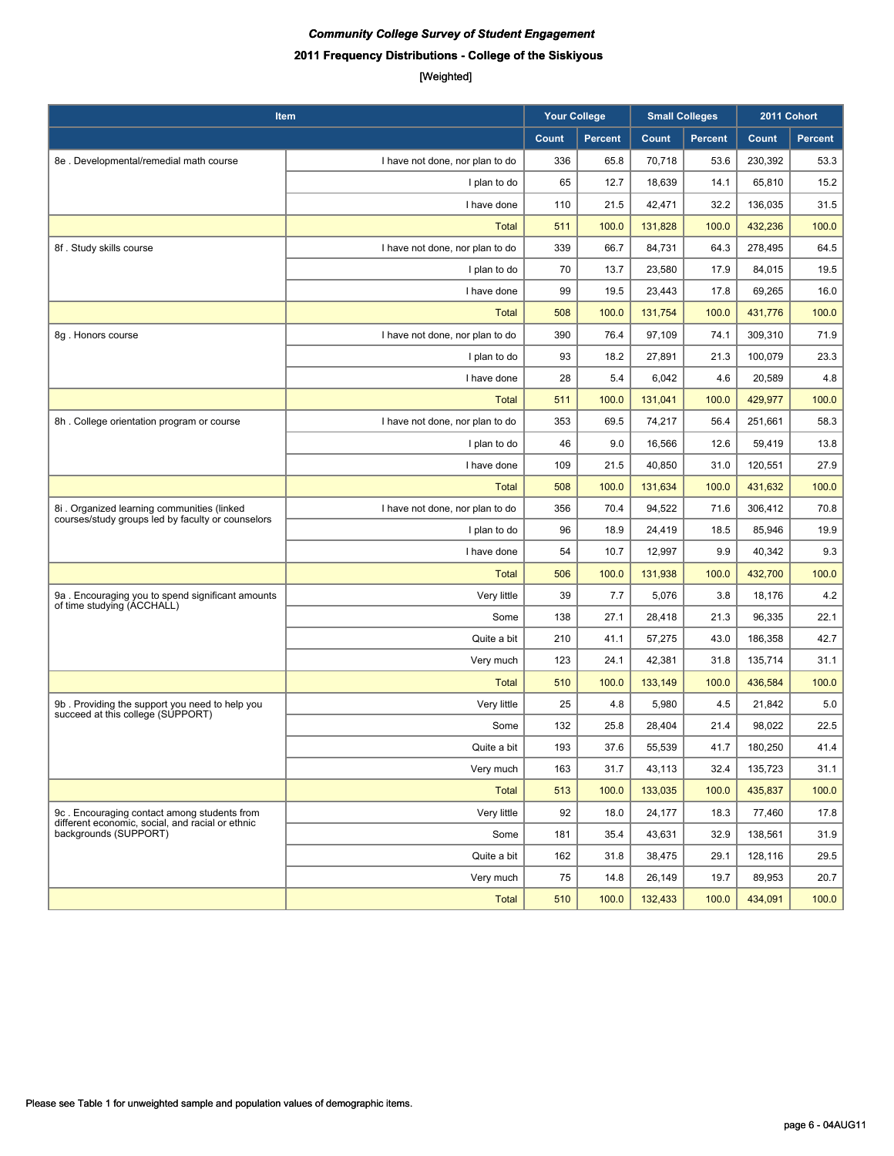| Item                                                                                            |                                 | <b>Your College</b> |                | <b>Small Colleges</b> |                | 2011 Cohort |         |
|-------------------------------------------------------------------------------------------------|---------------------------------|---------------------|----------------|-----------------------|----------------|-------------|---------|
|                                                                                                 |                                 | Count               | <b>Percent</b> | Count                 | <b>Percent</b> | Count       | Percent |
| 8e. Developmental/remedial math course                                                          | I have not done, nor plan to do | 336                 | 65.8           | 70,718                | 53.6           | 230,392     | 53.3    |
|                                                                                                 | I plan to do                    | 65                  | 12.7           | 18,639                | 14.1           | 65,810      | 15.2    |
|                                                                                                 | I have done                     | 110                 | 21.5           | 42,471                | 32.2           | 136,035     | 31.5    |
|                                                                                                 | <b>Total</b>                    | 511                 | 100.0          | 131,828               | 100.0          | 432,236     | 100.0   |
| 8f. Study skills course                                                                         | I have not done, nor plan to do | 339                 | 66.7           | 84,731                | 64.3           | 278,495     | 64.5    |
|                                                                                                 | I plan to do                    | 70                  | 13.7           | 23,580                | 17.9           | 84,015      | 19.5    |
|                                                                                                 | I have done                     | 99                  | 19.5           | 23,443                | 17.8           | 69,265      | 16.0    |
|                                                                                                 | <b>Total</b>                    | 508                 | 100.0          | 131,754               | 100.0          | 431,776     | 100.0   |
| 8g. Honors course                                                                               | I have not done, nor plan to do | 390                 | 76.4           | 97,109                | 74.1           | 309,310     | 71.9    |
|                                                                                                 | I plan to do                    | 93                  | 18.2           | 27,891                | 21.3           | 100,079     | 23.3    |
|                                                                                                 | I have done                     | 28                  | 5.4            | 6,042                 | 4.6            | 20,589      | 4.8     |
|                                                                                                 | <b>Total</b>                    | 511                 | 100.0          | 131,041               | 100.0          | 429,977     | 100.0   |
| 8h. College orientation program or course                                                       | I have not done, nor plan to do | 353                 | 69.5           | 74,217                | 56.4           | 251,661     | 58.3    |
|                                                                                                 | I plan to do                    | 46                  | 9.0            | 16,566                | 12.6           | 59,419      | 13.8    |
|                                                                                                 | I have done                     | 109                 | 21.5           | 40,850                | 31.0           | 120,551     | 27.9    |
|                                                                                                 | <b>Total</b>                    | 508                 | 100.0          | 131.634               | 100.0          | 431,632     | 100.0   |
| 8i. Organized learning communities (linked                                                      | I have not done, nor plan to do | 356                 | 70.4           | 94,522                | 71.6           | 306,412     | 70.8    |
| courses/study groups led by faculty or counselors                                               | I plan to do                    | 96                  | 18.9           | 24,419                | 18.5           | 85,946      | 19.9    |
|                                                                                                 | I have done                     | 54                  | 10.7           | 12,997                | 9.9            | 40,342      | 9.3     |
|                                                                                                 | <b>Total</b>                    | 506                 | 100.0          | 131,938               | 100.0          | 432,700     | 100.0   |
| 9a. Encouraging you to spend significant amounts                                                | Very little                     | 39                  | 7.7            | 5,076                 | 3.8            | 18,176      | 4.2     |
| of time studying (ACCHALL)                                                                      | Some                            | 138                 | 27.1           | 28,418                | 21.3           | 96,335      | 22.1    |
|                                                                                                 | Quite a bit                     | 210                 | 41.1           | 57,275                | 43.0           | 186,358     | 42.7    |
|                                                                                                 | Very much                       | 123                 | 24.1           | 42,381                | 31.8           | 135,714     | 31.1    |
|                                                                                                 | <b>Total</b>                    | 510                 | 100.0          | 133,149               | 100.0          | 436,584     | 100.0   |
| 9b. Providing the support you need to help you                                                  | Very little                     | 25                  | 4.8            | 5,980                 | 4.5            | 21,842      | 5.0     |
| succeed at this college (SUPPORT)                                                               | Some                            | 132                 | 25.8           | 28,404                | 21.4           | 98,022      | 22.5    |
|                                                                                                 | Quite a bit                     | 193                 | 37.6           | 55,539                | 41.7           | 180,250     | 41.4    |
|                                                                                                 | Very much                       | 163                 | 31.7           | 43,113                | 32.4           | 135,723     | 31.1    |
|                                                                                                 | <b>Total</b>                    | 513                 | 100.0          | 133,035               | 100.0          | 435,837     | 100.0   |
| 9c. Encouraging contact among students from<br>different economic, social, and racial or ethnic | Very little                     | 92                  | 18.0           | 24,177                | 18.3           | 77,460      | 17.8    |
| backgrounds (SUPPORT)                                                                           | Some                            | 181                 | 35.4           | 43,631                | 32.9           | 138,561     | 31.9    |
|                                                                                                 | Quite a bit                     | 162                 | 31.8           | 38,475                | 29.1           | 128,116     | 29.5    |
|                                                                                                 | Very much                       | 75                  | 14.8           | 26,149                | 19.7           | 89,953      | 20.7    |
|                                                                                                 | Total                           | 510                 | 100.0          | 132,433               | 100.0          | 434,091     | 100.0   |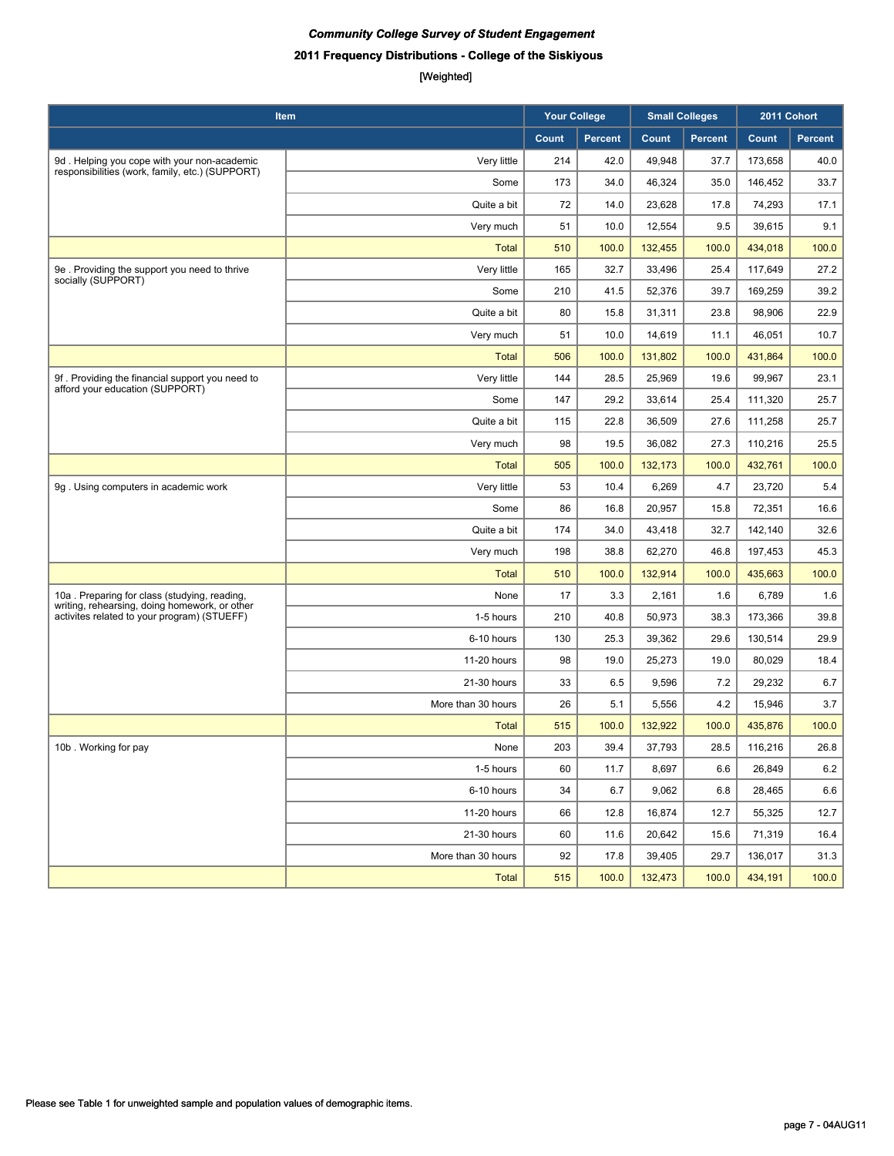| Item                                                                                           |                    | <b>Your College</b> |                | <b>Small Colleges</b> |                | 2011 Cohort |         |
|------------------------------------------------------------------------------------------------|--------------------|---------------------|----------------|-----------------------|----------------|-------------|---------|
|                                                                                                |                    | Count               | <b>Percent</b> | Count                 | <b>Percent</b> | Count       | Percent |
| 9d. Helping you cope with your non-academic<br>responsibilities (work, family, etc.) (SUPPORT) | Very little        | 214                 | 42.0           | 49,948                | 37.7           | 173,658     | 40.0    |
|                                                                                                | Some               | 173                 | 34.0           | 46,324                | 35.0           | 146,452     | 33.7    |
|                                                                                                | Quite a bit        | 72                  | 14.0           | 23,628                | 17.8           | 74,293      | 17.1    |
|                                                                                                | Very much          | 51                  | 10.0           | 12,554                | 9.5            | 39,615      | 9.1     |
|                                                                                                | <b>Total</b>       | 510                 | 100.0          | 132,455               | 100.0          | 434,018     | 100.0   |
| 9e. Providing the support you need to thrive<br>socially (SUPPORT)                             | Very little        | 165                 | 32.7           | 33,496                | 25.4           | 117,649     | 27.2    |
|                                                                                                | Some               | 210                 | 41.5           | 52,376                | 39.7           | 169,259     | 39.2    |
|                                                                                                | Quite a bit        | 80                  | 15.8           | 31,311                | 23.8           | 98,906      | 22.9    |
|                                                                                                | Very much          | 51                  | 10.0           | 14,619                | 11.1           | 46,051      | 10.7    |
|                                                                                                | <b>Total</b>       | 506                 | 100.0          | 131,802               | 100.0          | 431,864     | 100.0   |
| 9f. Providing the financial support you need to                                                | Very little        | 144                 | 28.5           | 25,969                | 19.6           | 99,967      | 23.1    |
| afford your education (SUPPORT)                                                                | Some               | 147                 | 29.2           | 33,614                | 25.4           | 111,320     | 25.7    |
|                                                                                                | Quite a bit        | 115                 | 22.8           | 36,509                | 27.6           | 111,258     | 25.7    |
|                                                                                                | Very much          | 98                  | 19.5           | 36,082                | 27.3           | 110,216     | 25.5    |
|                                                                                                | <b>Total</b>       | 505                 | 100.0          | 132,173               | 100.0          | 432,761     | 100.0   |
| 9g. Using computers in academic work                                                           | Very little        | 53                  | 10.4           | 6,269                 | 4.7            | 23,720      | 5.4     |
|                                                                                                | Some               | 86                  | 16.8           | 20,957                | 15.8           | 72,351      | 16.6    |
|                                                                                                | Quite a bit        | 174                 | 34.0           | 43,418                | 32.7           | 142,140     | 32.6    |
|                                                                                                | Very much          | 198                 | 38.8           | 62,270                | 46.8           | 197,453     | 45.3    |
|                                                                                                | <b>Total</b>       | 510                 | 100.0          | 132,914               | 100.0          | 435,663     | 100.0   |
| 10a. Preparing for class (studying, reading,                                                   | None               | 17                  | 3.3            | 2,161                 | 1.6            | 6,789       | 1.6     |
| writing, rehearsing, doing homework, or other<br>activites related to your program) (STUEFF)   | 1-5 hours          | 210                 | 40.8           | 50,973                | 38.3           | 173,366     | 39.8    |
|                                                                                                | 6-10 hours         | 130                 | 25.3           | 39,362                | 29.6           | 130,514     | 29.9    |
|                                                                                                | 11-20 hours        | 98                  | 19.0           | 25,273                | 19.0           | 80,029      | 18.4    |
|                                                                                                | 21-30 hours        | 33                  | 6.5            | 9,596                 | 7.2            | 29,232      | 6.7     |
|                                                                                                | More than 30 hours | 26                  | 5.1            | 5,556                 | 4.2            | 15,946      | 3.7     |
|                                                                                                | <b>Total</b>       | 515                 | 100.0          | 132,922               | 100.0          | 435,876     | 100.0   |
| 10b. Working for pay                                                                           | None               | 203                 | 39.4           | 37,793                | 28.5           | 116,216     | 26.8    |
|                                                                                                | 1-5 hours          | 60                  | 11.7           | 8,697                 | 6.6            | 26,849      | 6.2     |
|                                                                                                | 6-10 hours         | 34                  | 6.7            | 9,062                 | 6.8            | 28,465      | 6.6     |
|                                                                                                | 11-20 hours        | 66                  | 12.8           | 16,874                | 12.7           | 55,325      | 12.7    |
|                                                                                                | 21-30 hours        | 60                  | 11.6           | 20,642                | 15.6           | 71,319      | 16.4    |
|                                                                                                | More than 30 hours | 92                  | 17.8           | 39,405                | 29.7           | 136,017     | 31.3    |
|                                                                                                | <b>Total</b>       | 515                 | 100.0          | 132,473               | 100.0          | 434,191     | 100.0   |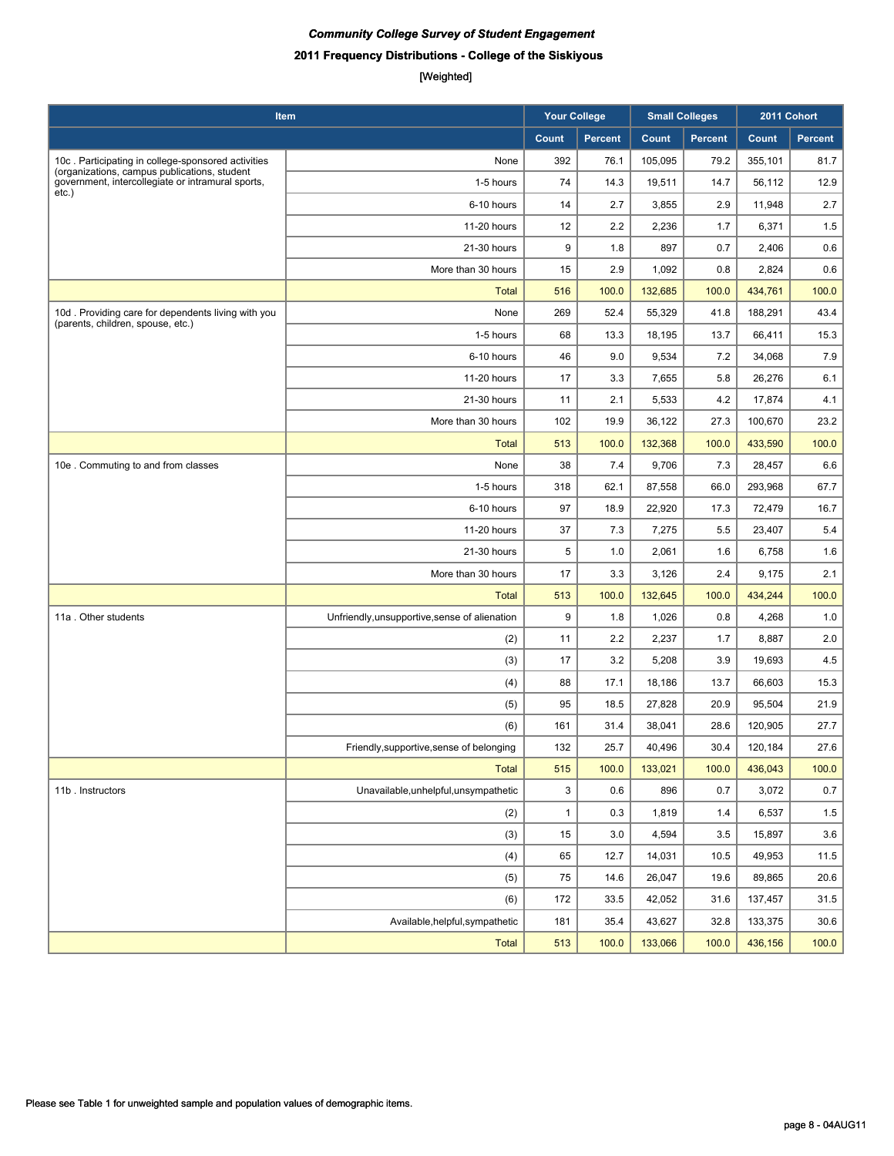| Item                                                                                              |                                               | <b>Your College</b> |                | <b>Small Colleges</b> |                | 2011 Cohort |                |
|---------------------------------------------------------------------------------------------------|-----------------------------------------------|---------------------|----------------|-----------------------|----------------|-------------|----------------|
|                                                                                                   |                                               | Count               | <b>Percent</b> | Count                 | <b>Percent</b> | Count       | <b>Percent</b> |
| 10c. Participating in college-sponsored activities                                                | None                                          | 392                 | 76.1           | 105,095               | 79.2           | 355,101     | 81.7           |
| (organizations, campus publications, student<br>government, intercollegiate or intramural sports, | 1-5 hours                                     | 74                  | 14.3           | 19,511                | 14.7           | 56,112      | 12.9           |
| $etc.$ )                                                                                          | 6-10 hours                                    | 14                  | 2.7            | 3,855                 | 2.9            | 11,948      | 2.7            |
|                                                                                                   | 11-20 hours                                   | 12                  | 2.2            | 2,236                 | 1.7            | 6,371       | 1.5            |
|                                                                                                   | 21-30 hours                                   | 9                   | 1.8            | 897                   | 0.7            | 2,406       | 0.6            |
|                                                                                                   | More than 30 hours                            | 15                  | 2.9            | 1,092                 | 0.8            | 2,824       | 0.6            |
|                                                                                                   | <b>Total</b>                                  | 516                 | 100.0          | 132,685               | 100.0          | 434,761     | 100.0          |
| 10d. Providing care for dependents living with you                                                | None                                          | 269                 | 52.4           | 55,329                | 41.8           | 188,291     | 43.4           |
| (parents, children, spouse, etc.)                                                                 | 1-5 hours                                     | 68                  | 13.3           | 18,195                | 13.7           | 66,411      | 15.3           |
|                                                                                                   | 6-10 hours                                    | 46                  | 9.0            | 9,534                 | 7.2            | 34,068      | 7.9            |
|                                                                                                   | 11-20 hours                                   | 17                  | 3.3            | 7,655                 | 5.8            | 26,276      | 6.1            |
|                                                                                                   | 21-30 hours                                   | 11                  | 2.1            | 5,533                 | 4.2            | 17,874      | 4.1            |
|                                                                                                   | More than 30 hours                            | 102                 | 19.9           | 36,122                | 27.3           | 100,670     | 23.2           |
|                                                                                                   | <b>Total</b>                                  | 513                 | 100.0          | 132,368               | 100.0          | 433,590     | 100.0          |
| 10e. Commuting to and from classes                                                                | None                                          | 38                  | 7.4            | 9,706                 | 7.3            | 28,457      | 6.6            |
|                                                                                                   | 1-5 hours                                     | 318                 | 62.1           | 87,558                | 66.0           | 293,968     | 67.7           |
|                                                                                                   | 6-10 hours                                    | 97                  | 18.9           | 22,920                | 17.3           | 72,479      | 16.7           |
|                                                                                                   | 11-20 hours                                   | 37                  | 7.3            | 7,275                 | 5.5            | 23,407      | 5.4            |
|                                                                                                   | 21-30 hours                                   | 5                   | 1.0            | 2,061                 | 1.6            | 6,758       | 1.6            |
|                                                                                                   | More than 30 hours                            | 17                  | 3.3            | 3,126                 | 2.4            | 9,175       | 2.1            |
|                                                                                                   | <b>Total</b>                                  | 513                 | 100.0          | 132,645               | 100.0          | 434,244     | 100.0          |
| 11a . Other students                                                                              | Unfriendly, unsupportive, sense of alienation | 9                   | 1.8            | 1,026                 | 0.8            | 4,268       | 1.0            |
|                                                                                                   | (2)                                           | 11                  | 2.2            | 2,237                 | 1.7            | 8,887       | 2.0            |
|                                                                                                   | (3)                                           | 17                  | 3.2            | 5,208                 | 3.9            | 19,693      | 4.5            |
|                                                                                                   | (4)                                           | 88                  | 17.1           | 18,186                | 13.7           | 66,603      | 15.3           |
|                                                                                                   | (5)                                           | 95                  | 18.5           | 27,828                | 20.9           | 95,504      | 21.9           |
|                                                                                                   | (6)                                           | 161                 | 31.4           | 38,041                | 28.6           | 120,905     | 27.7           |
|                                                                                                   | Friendly, supportive, sense of belonging      | 132                 | 25.7           | 40,496                | 30.4           | 120,184     | 27.6           |
|                                                                                                   | <b>Total</b>                                  | 515                 | 100.0          | 133,021               | 100.0          | 436,043     | 100.0          |
| 11b. Instructors                                                                                  | Unavailable, unhelpful, unsympathetic         | 3                   | 0.6            | 896                   | 0.7            | 3,072       | 0.7            |
|                                                                                                   | (2)                                           | $\mathbf{1}$        | 0.3            | 1,819                 | 1.4            | 6,537       | 1.5            |
|                                                                                                   | (3)                                           | 15                  | 3.0            | 4,594                 | 3.5            | 15,897      | 3.6            |
|                                                                                                   | (4)                                           | 65                  | 12.7           | 14,031                | 10.5           | 49,953      | 11.5           |
|                                                                                                   | (5)                                           | 75                  | 14.6           | 26,047                | 19.6           | 89,865      | 20.6           |
|                                                                                                   | (6)                                           | 172                 | 33.5           | 42,052                | 31.6           | 137,457     | 31.5           |
|                                                                                                   | Available, helpful, sympathetic               | 181                 | 35.4           | 43,627                | 32.8           | 133,375     | 30.6           |
|                                                                                                   | <b>Total</b>                                  | 513                 | 100.0          | 133,066               | 100.0          | 436,156     | 100.0          |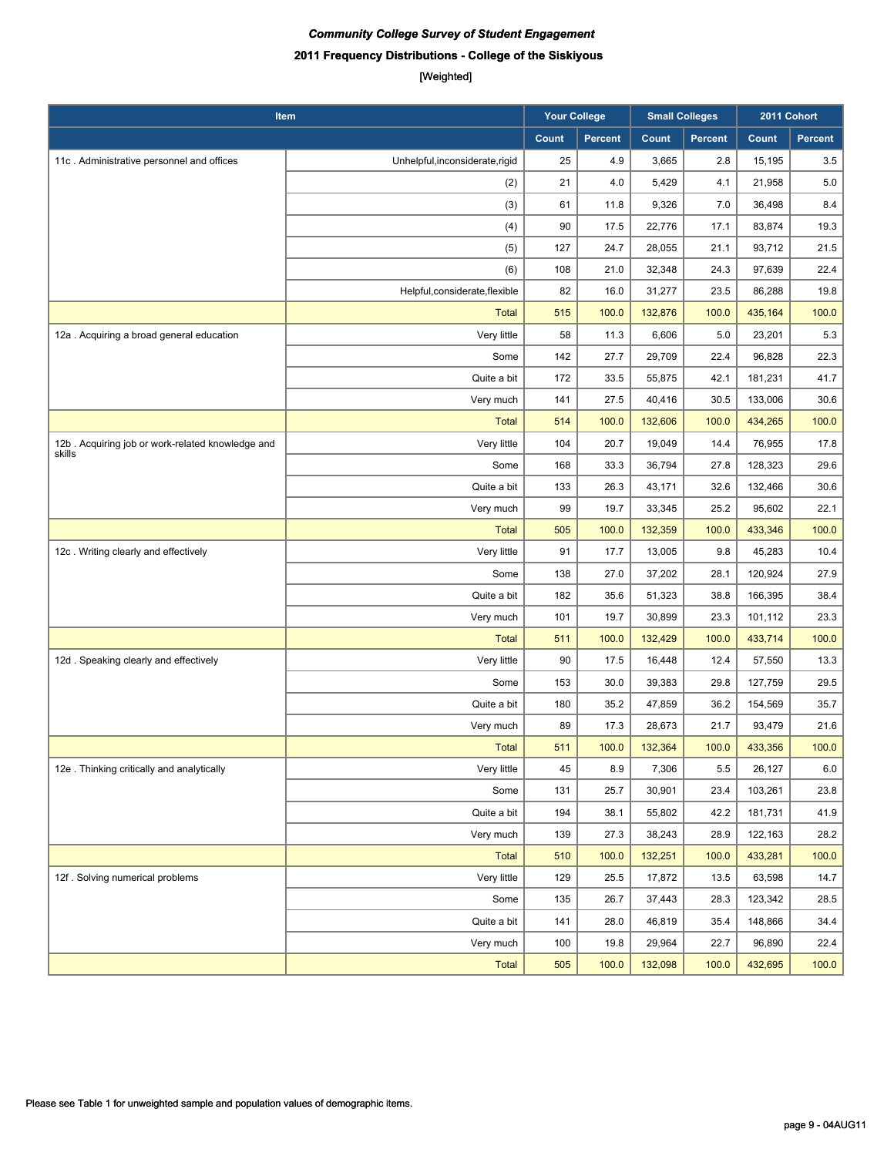| Item                                             |                                 | <b>Your College</b> |                | <b>Small Colleges</b> |                | 2011 Cohort |                |
|--------------------------------------------------|---------------------------------|---------------------|----------------|-----------------------|----------------|-------------|----------------|
|                                                  |                                 | Count               | <b>Percent</b> | Count                 | <b>Percent</b> | Count       | <b>Percent</b> |
| 11c. Administrative personnel and offices        | Unhelpful, inconsiderate, rigid | 25                  | 4.9            | 3,665                 | 2.8            | 15,195      | 3.5            |
|                                                  | (2)                             | 21                  | 4.0            | 5,429                 | 4.1            | 21,958      | 5.0            |
|                                                  | (3)                             | 61                  | 11.8           | 9,326                 | 7.0            | 36,498      | 8.4            |
|                                                  | (4)                             | 90                  | 17.5           | 22,776                | 17.1           | 83,874      | 19.3           |
|                                                  | (5)                             | 127                 | 24.7           | 28,055                | 21.1           | 93,712      | 21.5           |
|                                                  | (6)                             | 108                 | 21.0           | 32,348                | 24.3           | 97,639      | 22.4           |
|                                                  | Helpful, considerate, flexible  | 82                  | 16.0           | 31,277                | 23.5           | 86,288      | 19.8           |
|                                                  | <b>Total</b>                    | 515                 | 100.0          | 132,876               | 100.0          | 435,164     | 100.0          |
| 12a . Acquiring a broad general education        | Very little                     | 58                  | 11.3           | 6,606                 | 5.0            | 23,201      | 5.3            |
|                                                  | Some                            | 142                 | 27.7           | 29,709                | 22.4           | 96,828      | 22.3           |
|                                                  | Quite a bit                     | 172                 | 33.5           | 55,875                | 42.1           | 181,231     | 41.7           |
|                                                  | Very much                       | 141                 | 27.5           | 40,416                | 30.5           | 133,006     | 30.6           |
|                                                  | <b>Total</b>                    | 514                 | 100.0          | 132,606               | 100.0          | 434,265     | 100.0          |
| 12b. Acquiring job or work-related knowledge and | Very little                     | 104                 | 20.7           | 19,049                | 14.4           | 76,955      | 17.8           |
| skills                                           | Some                            | 168                 | 33.3           | 36,794                | 27.8           | 128,323     | 29.6           |
|                                                  | Quite a bit                     | 133                 | 26.3           | 43,171                | 32.6           | 132,466     | 30.6           |
|                                                  | Very much                       | 99                  | 19.7           | 33,345                | 25.2           | 95,602      | 22.1           |
|                                                  | <b>Total</b>                    | 505                 | 100.0          | 132,359               | 100.0          | 433,346     | 100.0          |
| 12c. Writing clearly and effectively             | Very little                     | 91                  | 17.7           | 13,005                | 9.8            | 45,283      | 10.4           |
|                                                  | Some                            | 138                 | 27.0           | 37,202                | 28.1           | 120,924     | 27.9           |
|                                                  | Quite a bit                     | 182                 | 35.6           | 51,323                | 38.8           | 166,395     | 38.4           |
|                                                  | Very much                       | 101                 | 19.7           | 30,899                | 23.3           | 101,112     | 23.3           |
|                                                  | <b>Total</b>                    | 511                 | 100.0          | 132,429               | 100.0          | 433,714     | 100.0          |
| 12d. Speaking clearly and effectively            | Very little                     | 90                  | 17.5           | 16,448                | 12.4           | 57,550      | 13.3           |
|                                                  | Some                            | 153                 | 30.0           | 39,383                | 29.8           | 127,759     | 29.5           |
|                                                  | Quite a bit                     | 180                 | 35.2           | 47,859                | 36.2           | 154,569     | 35.7           |
|                                                  | Very much                       | 89                  | 17.3           | 28,673                | 21.7           | 93,479      | 21.6           |
|                                                  | <b>Total</b>                    | 511                 | 100.0          | 132,364               | 100.0          | 433,356     | 100.0          |
| 12e . Thinking critically and analytically       | Very little                     | 45                  | 8.9            | 7,306                 | $5.5\,$        | 26,127      | $6.0\,$        |
|                                                  | Some                            | 131                 | 25.7           | 30,901                | 23.4           | 103,261     | 23.8           |
|                                                  | Quite a bit                     | 194                 | 38.1           | 55,802                | 42.2           | 181,731     | 41.9           |
|                                                  | Very much                       | 139                 | 27.3           | 38,243                | 28.9           | 122,163     | 28.2           |
|                                                  | <b>Total</b>                    | 510                 | 100.0          | 132,251               | 100.0          | 433,281     | 100.0          |
| 12f. Solving numerical problems                  | Very little                     | 129                 | 25.5           | 17,872                | 13.5           | 63,598      | 14.7           |
|                                                  | Some                            | 135                 | 26.7           | 37,443                | 28.3           | 123,342     | 28.5           |
|                                                  | Quite a bit                     | 141                 | 28.0           | 46,819                | 35.4           | 148,866     | 34.4           |
|                                                  | Very much                       | 100                 | 19.8           | 29,964                | 22.7           | 96,890      | 22.4           |
|                                                  | <b>Total</b>                    | 505                 | 100.0          | 132,098               | 100.0          | 432,695     | 100.0          |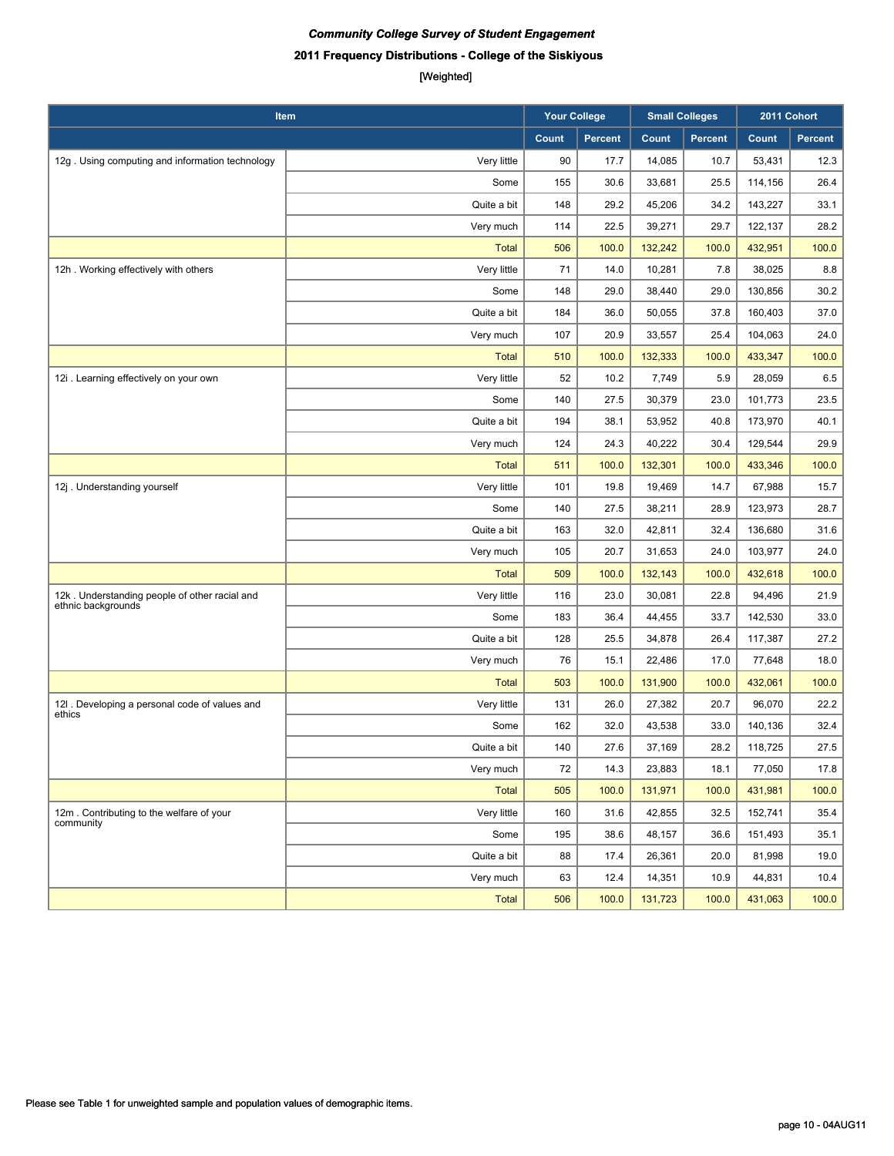| Item                                                                |              | <b>Your College</b> |         | <b>Small Colleges</b> |         | 2011 Cohort |         |
|---------------------------------------------------------------------|--------------|---------------------|---------|-----------------------|---------|-------------|---------|
|                                                                     |              | Count               | Percent | Count                 | Percent | Count       | Percent |
| 12g. Using computing and information technology                     | Very little  | 90                  | 17.7    | 14,085                | 10.7    | 53,431      | 12.3    |
|                                                                     | Some         | 155                 | 30.6    | 33,681                | 25.5    | 114,156     | 26.4    |
|                                                                     | Quite a bit  | 148                 | 29.2    | 45,206                | 34.2    | 143,227     | 33.1    |
|                                                                     | Very much    | 114                 | 22.5    | 39,271                | 29.7    | 122,137     | 28.2    |
|                                                                     | <b>Total</b> | 506                 | 100.0   | 132,242               | 100.0   | 432,951     | 100.0   |
| 12h. Working effectively with others                                | Very little  | 71                  | 14.0    | 10,281                | 7.8     | 38,025      | 8.8     |
|                                                                     | Some         | 148                 | 29.0    | 38,440                | 29.0    | 130,856     | 30.2    |
|                                                                     | Quite a bit  | 184                 | 36.0    | 50,055                | 37.8    | 160,403     | 37.0    |
|                                                                     | Very much    | 107                 | 20.9    | 33,557                | 25.4    | 104,063     | 24.0    |
|                                                                     | <b>Total</b> | 510                 | 100.0   | 132,333               | 100.0   | 433,347     | 100.0   |
| 12i . Learning effectively on your own                              | Very little  | 52                  | 10.2    | 7,749                 | 5.9     | 28,059      | 6.5     |
|                                                                     | Some         | 140                 | 27.5    | 30,379                | 23.0    | 101,773     | 23.5    |
|                                                                     | Quite a bit  | 194                 | 38.1    | 53,952                | 40.8    | 173,970     | 40.1    |
|                                                                     | Very much    | 124                 | 24.3    | 40,222                | 30.4    | 129,544     | 29.9    |
|                                                                     | <b>Total</b> | 511                 | 100.0   | 132,301               | 100.0   | 433,346     | 100.0   |
| 12j . Understanding yourself                                        | Very little  | 101                 | 19.8    | 19,469                | 14.7    | 67,988      | 15.7    |
|                                                                     | Some         | 140                 | 27.5    | 38,211                | 28.9    | 123,973     | 28.7    |
|                                                                     | Quite a bit  | 163                 | 32.0    | 42,811                | 32.4    | 136,680     | 31.6    |
|                                                                     | Very much    | 105                 | 20.7    | 31,653                | 24.0    | 103,977     | 24.0    |
|                                                                     | <b>Total</b> | 509                 | 100.0   | 132,143               | 100.0   | 432,618     | 100.0   |
| 12k. Understanding people of other racial and<br>ethnic backgrounds | Very little  | 116                 | 23.0    | 30,081                | 22.8    | 94,496      | 21.9    |
|                                                                     | Some         | 183                 | 36.4    | 44,455                | 33.7    | 142,530     | 33.0    |
|                                                                     | Quite a bit  | 128                 | 25.5    | 34,878                | 26.4    | 117,387     | 27.2    |
|                                                                     | Very much    | 76                  | 15.1    | 22,486                | 17.0    | 77,648      | 18.0    |
|                                                                     | <b>Total</b> | 503                 | 100.0   | 131,900               | 100.0   | 432,061     | 100.0   |
| 12I. Developing a personal code of values and<br>ethics             | Very little  | 131                 | 26.0    | 27,382                | 20.7    | 96,070      | 22.2    |
|                                                                     | Some         | 162                 | 32.0    | 43,538                | 33.0    | 140,136     | 32.4    |
|                                                                     | Quite a bit  | 140                 | 27.6    | 37,169                | 28.2    | 118,725     | 27.5    |
|                                                                     | Very much    | 72                  | 14.3    | 23,883                | 18.1    | 77,050      | 17.8    |
|                                                                     | <b>Total</b> | 505                 | 100.0   | 131,971               | 100.0   | 431,981     | 100.0   |
| 12m. Contributing to the welfare of your<br>community               | Very little  | 160                 | 31.6    | 42,855                | 32.5    | 152,741     | 35.4    |
|                                                                     | Some         | 195                 | 38.6    | 48,157                | 36.6    | 151,493     | 35.1    |
|                                                                     | Quite a bit  | 88                  | 17.4    | 26,361                | 20.0    | 81,998      | 19.0    |
|                                                                     | Very much    | 63                  | 12.4    | 14,351                | 10.9    | 44,831      | 10.4    |
|                                                                     | Total        | 506                 | 100.0   | 131,723               | 100.0   | 431,063     | 100.0   |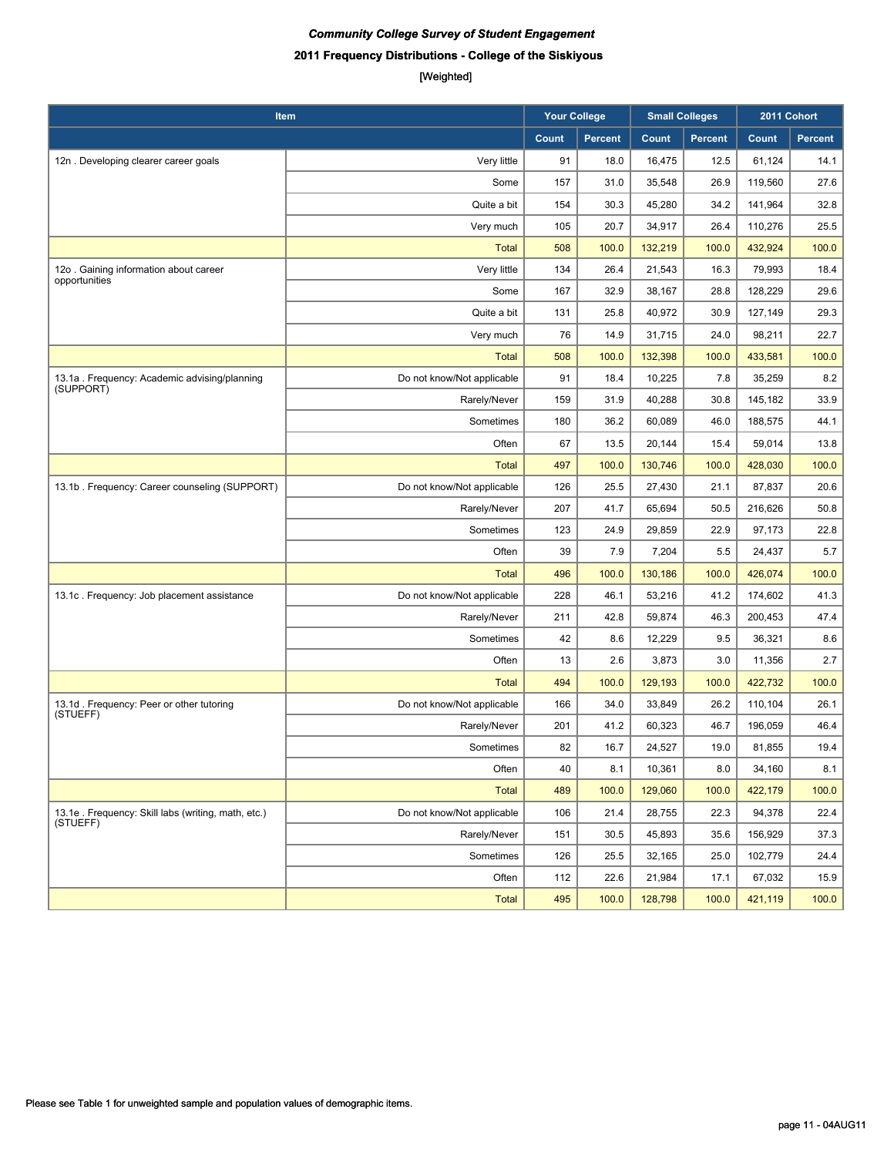| Item                                                           |                            | <b>Your College</b> |                | <b>Small Colleges</b> |                |         | 2011 Cohort    |
|----------------------------------------------------------------|----------------------------|---------------------|----------------|-----------------------|----------------|---------|----------------|
|                                                                |                            | Count               | <b>Percent</b> | Count                 | <b>Percent</b> | Count   | <b>Percent</b> |
| 12n. Developing clearer career goals                           | Very little                | 91                  | 18.0           | 16,475                | 12.5           | 61,124  | 14.1           |
|                                                                | Some                       | 157                 | 31.0           | 35,548                | 26.9           | 119,560 | 27.6           |
|                                                                | Quite a bit                | 154                 | 30.3           | 45,280                | 34.2           | 141,964 | 32.8           |
|                                                                | Very much                  | 105                 | 20.7           | 34,917                | 26.4           | 110,276 | 25.5           |
|                                                                | <b>Total</b>               | 508                 | 100.0          | 132,219               | 100.0          | 432,924 | 100.0          |
| 12o. Gaining information about career                          | Very little                | 134                 | 26.4           | 21,543                | 16.3           | 79,993  | 18.4           |
| opportunities                                                  | Some                       | 167                 | 32.9           | 38,167                | 28.8           | 128,229 | 29.6           |
|                                                                | Quite a bit                | 131                 | 25.8           | 40,972                | 30.9           | 127,149 | 29.3           |
|                                                                | Very much                  | 76                  | 14.9           | 31,715                | 24.0           | 98,211  | 22.7           |
|                                                                | <b>Total</b>               | 508                 | 100.0          | 132,398               | 100.0          | 433,581 | 100.0          |
| 13.1a. Frequency: Academic advising/planning                   | Do not know/Not applicable | 91                  | 18.4           | 10,225                | 7.8            | 35,259  | 8.2            |
| (SUPPORT)                                                      | Rarely/Never               | 159                 | 31.9           | 40,288                | 30.8           | 145,182 | 33.9           |
|                                                                | Sometimes                  | 180                 | 36.2           | 60,089                | 46.0           | 188,575 | 44.1           |
|                                                                | Often                      | 67                  | 13.5           | 20,144                | 15.4           | 59,014  | 13.8           |
|                                                                | <b>Total</b>               | 497                 | 100.0          | 130,746               | 100.0          | 428,030 | 100.0          |
| 13.1b. Frequency: Career counseling (SUPPORT)                  | Do not know/Not applicable | 126                 | 25.5           | 27,430                | 21.1           | 87,837  | 20.6           |
|                                                                | Rarely/Never               | 207                 | 41.7           | 65,694                | 50.5           | 216,626 | 50.8           |
|                                                                | Sometimes                  | 123                 | 24.9           | 29,859                | 22.9           | 97,173  | 22.8           |
|                                                                | Often                      | 39                  | 7.9            | 7,204                 | 5.5            | 24,437  | 5.7            |
|                                                                | <b>Total</b>               | 496                 | 100.0          | 130,186               | 100.0          | 426,074 | 100.0          |
| 13.1c. Frequency: Job placement assistance                     | Do not know/Not applicable | 228                 | 46.1           | 53,216                | 41.2           | 174,602 | 41.3           |
|                                                                | Rarely/Never               | 211                 | 42.8           | 59,874                | 46.3           | 200,453 | 47.4           |
|                                                                | Sometimes                  | 42                  | 8.6            | 12,229                | 9.5            | 36,321  | 8.6            |
|                                                                | Often                      | 13                  | 2.6            | 3,873                 | 3.0            | 11,356  | 2.7            |
|                                                                | <b>Total</b>               | 494                 | 100.0          | 129,193               | 100.0          | 422,732 | 100.0          |
| 13.1d. Frequency: Peer or other tutoring                       | Do not know/Not applicable | 166                 | 34.0           | 33,849                | 26.2           | 110,104 | 26.1           |
| (STUEFF)                                                       | Rarely/Never               | 201                 | 41.2           | 60,323                | 46.7           | 196,059 | 46.4           |
|                                                                | Sometimes                  | 82                  | 16.7           | 24,527                | 19.0           | 81,855  | 19.4           |
|                                                                | Often                      | 40                  | 8.1            | 10,361                | 8.0            | 34,160  | 8.1            |
|                                                                | <b>Total</b>               | 489                 | 100.0          | 129,060               | 100.0          | 422,179 | 100.0          |
| 13.1e. Frequency: Skill labs (writing, math, etc.)<br>(STUEFF) | Do not know/Not applicable | 106                 | 21.4           | 28,755                | 22.3           | 94,378  | 22.4           |
|                                                                | Rarely/Never               | 151                 | 30.5           | 45,893                | 35.6           | 156,929 | 37.3           |
|                                                                | Sometimes                  | 126                 | 25.5           | 32,165                | 25.0           | 102,779 | 24.4           |
|                                                                | Often                      | 112                 | 22.6           | 21,984                | 17.1           | 67,032  | 15.9           |
|                                                                | Total                      | 495                 | 100.0          | 128,798               | 100.0          | 421,119 | 100.0          |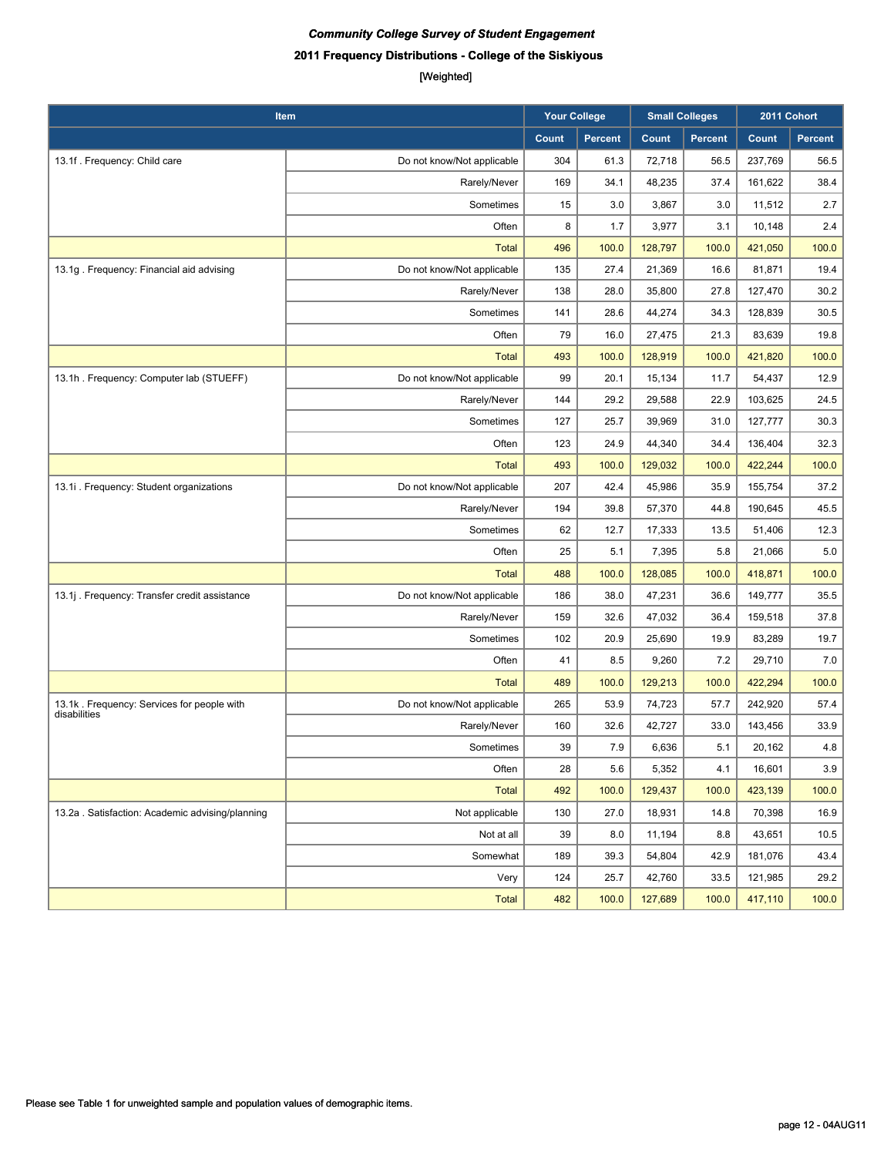| Item                                                       |                            | <b>Your College</b> |                | <b>Small Colleges</b> |                | 2011 Cohort  |         |
|------------------------------------------------------------|----------------------------|---------------------|----------------|-----------------------|----------------|--------------|---------|
|                                                            |                            | Count               | <b>Percent</b> | Count                 | <b>Percent</b> | <b>Count</b> | Percent |
| 13.1f. Frequency: Child care                               | Do not know/Not applicable | 304                 | 61.3           | 72,718                | 56.5           | 237,769      | 56.5    |
|                                                            | Rarely/Never               | 169                 | 34.1           | 48,235                | 37.4           | 161,622      | 38.4    |
|                                                            | Sometimes                  | 15                  | 3.0            | 3,867                 | 3.0            | 11,512       | 2.7     |
|                                                            | Often                      | 8                   | 1.7            | 3,977                 | 3.1            | 10,148       | 2.4     |
|                                                            | <b>Total</b>               | 496                 | 100.0          | 128,797               | 100.0          | 421,050      | 100.0   |
| 13.1g. Frequency: Financial aid advising                   | Do not know/Not applicable | 135                 | 27.4           | 21,369                | 16.6           | 81.871       | 19.4    |
|                                                            | Rarely/Never               | 138                 | 28.0           | 35,800                | 27.8           | 127,470      | 30.2    |
|                                                            | Sometimes                  | 141                 | 28.6           | 44,274                | 34.3           | 128,839      | 30.5    |
|                                                            | Often                      | 79                  | 16.0           | 27,475                | 21.3           | 83,639       | 19.8    |
|                                                            | <b>Total</b>               | 493                 | 100.0          | 128,919               | 100.0          | 421,820      | 100.0   |
| 13.1h. Frequency: Computer lab (STUEFF)                    | Do not know/Not applicable | 99                  | 20.1           | 15,134                | 11.7           | 54,437       | 12.9    |
|                                                            | Rarely/Never               | 144                 | 29.2           | 29,588                | 22.9           | 103,625      | 24.5    |
|                                                            | Sometimes                  | 127                 | 25.7           | 39,969                | 31.0           | 127,777      | 30.3    |
|                                                            | Often                      | 123                 | 24.9           | 44,340                | 34.4           | 136,404      | 32.3    |
|                                                            | <b>Total</b>               | 493                 | 100.0          | 129,032               | 100.0          | 422,244      | 100.0   |
| 13.1i. Frequency: Student organizations                    | Do not know/Not applicable | 207                 | 42.4           | 45,986                | 35.9           | 155,754      | 37.2    |
|                                                            | Rarely/Never               | 194                 | 39.8           | 57,370                | 44.8           | 190,645      | 45.5    |
|                                                            | Sometimes                  | 62                  | 12.7           | 17,333                | 13.5           | 51,406       | 12.3    |
|                                                            | Often                      | 25                  | 5.1            | 7,395                 | 5.8            | 21,066       | 5.0     |
|                                                            | <b>Total</b>               | 488                 | 100.0          | 128,085               | 100.0          | 418,871      | 100.0   |
| 13.1j. Frequency: Transfer credit assistance               | Do not know/Not applicable | 186                 | 38.0           | 47,231                | 36.6           | 149,777      | 35.5    |
|                                                            | Rarely/Never               | 159                 | 32.6           | 47,032                | 36.4           | 159,518      | 37.8    |
|                                                            | Sometimes                  | 102                 | 20.9           | 25,690                | 19.9           | 83,289       | 19.7    |
|                                                            | Often                      | 41                  | 8.5            | 9,260                 | 7.2            | 29,710       | 7.0     |
|                                                            | <b>Total</b>               | 489                 | 100.0          | 129,213               | 100.0          | 422,294      | 100.0   |
| 13.1k. Frequency: Services for people with<br>disabilities | Do not know/Not applicable | 265                 | 53.9           | 74,723                | 57.7           | 242,920      | 57.4    |
|                                                            | Rarely/Never               | 160                 | 32.6           | 42,727                | 33.0           | 143,456      | 33.9    |
|                                                            | Sometimes                  | 39                  | 7.9            | 6,636                 | 5.1            | 20,162       | 4.8     |
|                                                            | Often                      | 28                  | 5.6            | 5,352                 | 4.1            | 16,601       | 3.9     |
|                                                            | <b>Total</b>               | 492                 | 100.0          | 129,437               | 100.0          | 423,139      | 100.0   |
| 13.2a . Satisfaction: Academic advising/planning           | Not applicable             | 130                 | 27.0           | 18,931                | 14.8           | 70,398       | 16.9    |
|                                                            | Not at all                 | 39                  | 8.0            | 11,194                | 8.8            | 43,651       | 10.5    |
|                                                            | Somewhat                   | 189                 | 39.3           | 54,804                | 42.9           | 181,076      | 43.4    |
|                                                            | Very                       | 124                 | 25.7           | 42,760                | 33.5           | 121,985      | 29.2    |
|                                                            | Total                      | 482                 | 100.0          | 127,689               | 100.0          | 417,110      | 100.0   |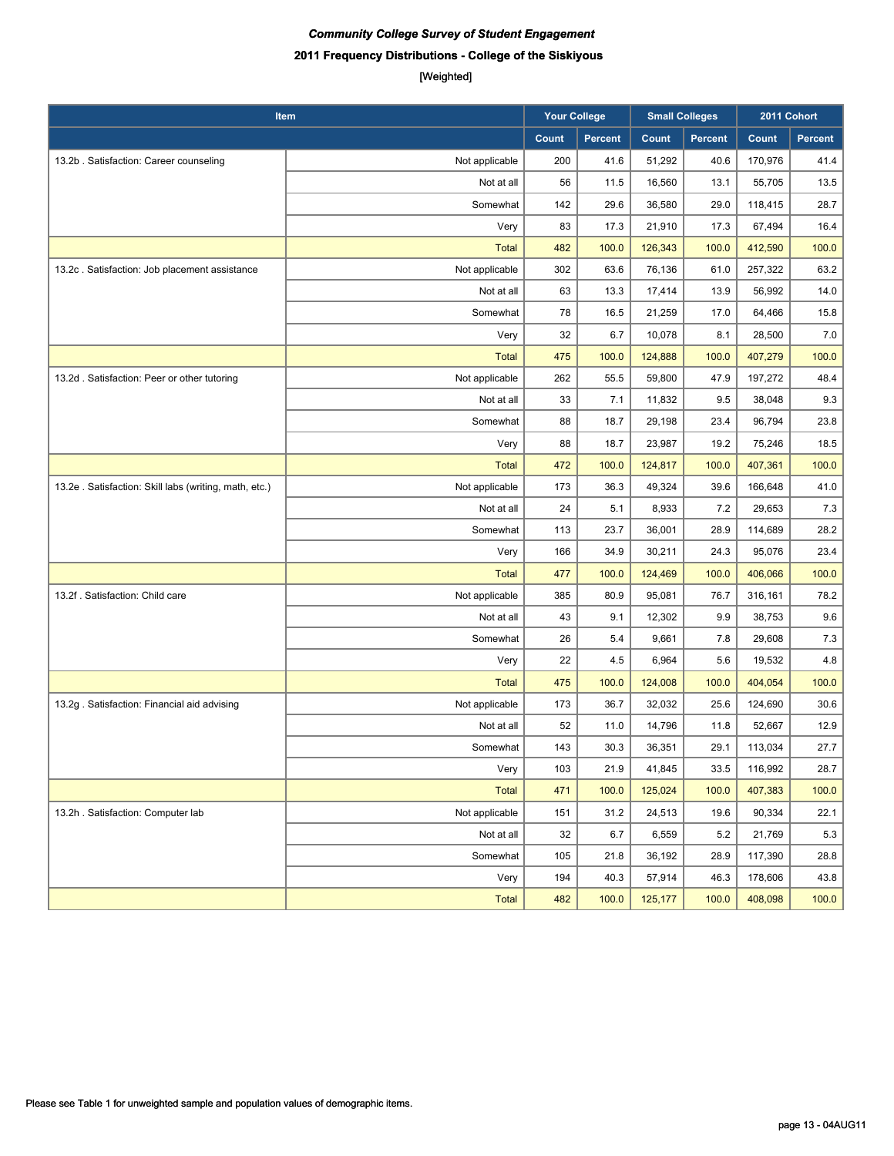| Item                                                  |                | <b>Your College</b> |                | <b>Small Colleges</b> |                | 2011 Cohort  |         |
|-------------------------------------------------------|----------------|---------------------|----------------|-----------------------|----------------|--------------|---------|
|                                                       |                | Count               | <b>Percent</b> | Count                 | <b>Percent</b> | <b>Count</b> | Percent |
| 13.2b. Satisfaction: Career counseling                | Not applicable | 200                 | 41.6           | 51,292                | 40.6           | 170,976      | 41.4    |
|                                                       | Not at all     | 56                  | 11.5           | 16,560                | 13.1           | 55,705       | 13.5    |
|                                                       | Somewhat       | 142                 | 29.6           | 36,580                | 29.0           | 118,415      | 28.7    |
|                                                       | Very           | 83                  | 17.3           | 21,910                | 17.3           | 67,494       | 16.4    |
|                                                       | <b>Total</b>   | 482                 | 100.0          | 126,343               | 100.0          | 412,590      | 100.0   |
| 13.2c. Satisfaction: Job placement assistance         | Not applicable | 302                 | 63.6           | 76,136                | 61.0           | 257,322      | 63.2    |
|                                                       | Not at all     | 63                  | 13.3           | 17,414                | 13.9           | 56,992       | 14.0    |
|                                                       | Somewhat       | 78                  | 16.5           | 21,259                | 17.0           | 64,466       | 15.8    |
|                                                       | Very           | 32                  | 6.7            | 10,078                | 8.1            | 28,500       | 7.0     |
|                                                       | <b>Total</b>   | 475                 | 100.0          | 124,888               | 100.0          | 407,279      | 100.0   |
| 13.2d. Satisfaction: Peer or other tutoring           | Not applicable | 262                 | 55.5           | 59,800                | 47.9           | 197,272      | 48.4    |
|                                                       | Not at all     | 33                  | 7.1            | 11,832                | 9.5            | 38,048       | 9.3     |
|                                                       | Somewhat       | 88                  | 18.7           | 29,198                | 23.4           | 96,794       | 23.8    |
|                                                       | Very           | 88                  | 18.7           | 23,987                | 19.2           | 75,246       | 18.5    |
|                                                       | <b>Total</b>   | 472                 | 100.0          | 124,817               | 100.0          | 407,361      | 100.0   |
| 13.2e. Satisfaction: Skill labs (writing, math, etc.) | Not applicable | 173                 | 36.3           | 49,324                | 39.6           | 166,648      | 41.0    |
|                                                       | Not at all     | 24                  | 5.1            | 8,933                 | 7.2            | 29,653       | 7.3     |
|                                                       | Somewhat       | 113                 | 23.7           | 36,001                | 28.9           | 114,689      | 28.2    |
|                                                       | Very           | 166                 | 34.9           | 30,211                | 24.3           | 95,076       | 23.4    |
|                                                       | <b>Total</b>   | 477                 | 100.0          | 124,469               | 100.0          | 406,066      | 100.0   |
| 13.2f. Satisfaction: Child care                       | Not applicable | 385                 | 80.9           | 95,081                | 76.7           | 316,161      | 78.2    |
|                                                       | Not at all     | 43                  | 9.1            | 12,302                | 9.9            | 38,753       | 9.6     |
|                                                       | Somewhat       | 26                  | 5.4            | 9,661                 | 7.8            | 29,608       | 7.3     |
|                                                       | Very           | 22                  | 4.5            | 6,964                 | 5.6            | 19,532       | 4.8     |
|                                                       | <b>Total</b>   | 475                 | 100.0          | 124,008               | 100.0          | 404,054      | 100.0   |
| 13.2g . Satisfaction: Financial aid advising          | Not applicable | 173                 | 36.7           | 32,032                | 25.6           | 124,690      | 30.6    |
|                                                       | Not at all     | 52                  | 11.0           | 14,796                | 11.8           | 52,667       | 12.9    |
|                                                       | Somewhat       | 143                 | 30.3           | 36,351                | 29.1           | 113,034      | 27.7    |
|                                                       | Very           | 103                 | 21.9           | 41,845                | 33.5           | 116,992      | 28.7    |
|                                                       | <b>Total</b>   | 471                 | 100.0          | 125,024               | 100.0          | 407,383      | 100.0   |
| 13.2h. Satisfaction: Computer lab                     | Not applicable | 151                 | 31.2           | 24,513                | 19.6           | 90,334       | 22.1    |
|                                                       | Not at all     | 32                  | 6.7            | 6,559                 | 5.2            | 21,769       | 5.3     |
|                                                       | Somewhat       | 105                 | 21.8           | 36,192                | 28.9           | 117,390      | 28.8    |
|                                                       | Very           | 194                 | 40.3           | 57,914                | 46.3           | 178,606      | 43.8    |
|                                                       | Total          | 482                 | 100.0          | 125,177               | 100.0          | 408,098      | 100.0   |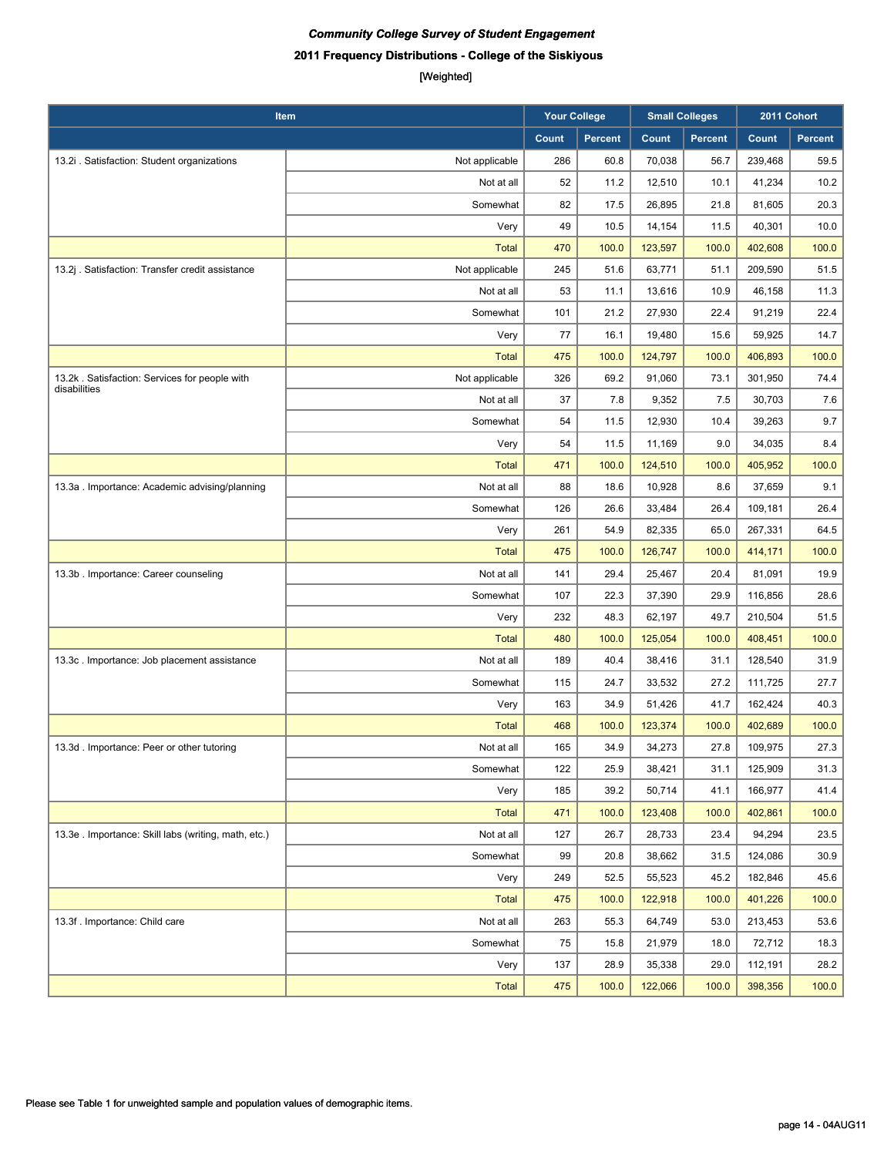| Item                                                          |                | <b>Your College</b> |         | <b>Small Colleges</b> |         | 2011 Cohort |         |
|---------------------------------------------------------------|----------------|---------------------|---------|-----------------------|---------|-------------|---------|
|                                                               |                | Count               | Percent | Count                 | Percent | Count       | Percent |
| 13.2i . Satisfaction: Student organizations                   | Not applicable | 286                 | 60.8    | 70,038                | 56.7    | 239,468     | 59.5    |
|                                                               | Not at all     | 52                  | 11.2    | 12,510                | 10.1    | 41,234      | 10.2    |
|                                                               | Somewhat       | 82                  | 17.5    | 26,895                | 21.8    | 81,605      | 20.3    |
|                                                               | Very           | 49                  | 10.5    | 14,154                | 11.5    | 40,301      | 10.0    |
|                                                               | <b>Total</b>   | 470                 | 100.0   | 123,597               | 100.0   | 402,608     | 100.0   |
| 13.2j . Satisfaction: Transfer credit assistance              | Not applicable | 245                 | 51.6    | 63,771                | 51.1    | 209,590     | 51.5    |
|                                                               | Not at all     | 53                  | 11.1    | 13,616                | 10.9    | 46,158      | 11.3    |
|                                                               | Somewhat       | 101                 | 21.2    | 27,930                | 22.4    | 91,219      | 22.4    |
|                                                               | Very           | 77                  | 16.1    | 19,480                | 15.6    | 59,925      | 14.7    |
|                                                               | <b>Total</b>   | 475                 | 100.0   | 124,797               | 100.0   | 406,893     | 100.0   |
| 13.2k. Satisfaction: Services for people with<br>disabilities | Not applicable | 326                 | 69.2    | 91,060                | 73.1    | 301,950     | 74.4    |
|                                                               | Not at all     | 37                  | 7.8     | 9,352                 | 7.5     | 30,703      | 7.6     |
|                                                               | Somewhat       | 54                  | 11.5    | 12,930                | 10.4    | 39,263      | 9.7     |
|                                                               | Very           | 54                  | 11.5    | 11,169                | 9.0     | 34,035      | 8.4     |
|                                                               | <b>Total</b>   | 471                 | 100.0   | 124,510               | 100.0   | 405,952     | 100.0   |
| 13.3a . Importance: Academic advising/planning                | Not at all     | 88                  | 18.6    | 10,928                | 8.6     | 37,659      | 9.1     |
|                                                               | Somewhat       | 126                 | 26.6    | 33,484                | 26.4    | 109,181     | 26.4    |
|                                                               | Very           | 261                 | 54.9    | 82,335                | 65.0    | 267,331     | 64.5    |
|                                                               | <b>Total</b>   | 475                 | 100.0   | 126,747               | 100.0   | 414,171     | 100.0   |
| 13.3b. Importance: Career counseling                          | Not at all     | 141                 | 29.4    | 25,467                | 20.4    | 81,091      | 19.9    |
|                                                               | Somewhat       | 107                 | 22.3    | 37,390                | 29.9    | 116,856     | 28.6    |
|                                                               | Very           | 232                 | 48.3    | 62,197                | 49.7    | 210,504     | 51.5    |
|                                                               | <b>Total</b>   | 480                 | 100.0   | 125,054               | 100.0   | 408,451     | 100.0   |
| 13.3c. Importance: Job placement assistance                   | Not at all     | 189                 | 40.4    | 38,416                | 31.1    | 128,540     | 31.9    |
|                                                               | Somewhat       | 115                 | 24.7    | 33,532                | 27.2    | 111,725     | 27.7    |
|                                                               | Very           | 163                 | 34.9    | 51,426                | 41.7    | 162,424     | 40.3    |
|                                                               | <b>Total</b>   | 468                 | 100.0   | 123,374               | 100.0   | 402,689     | 100.0   |
| 13.3d. Importance: Peer or other tutoring                     | Not at all     | 165                 | 34.9    | 34,273                | 27.8    | 109,975     | 27.3    |
|                                                               | Somewhat       | 122                 | 25.9    | 38,421                | 31.1    | 125,909     | 31.3    |
|                                                               | Very           | 185                 | 39.2    | 50,714                | 41.1    | 166,977     | 41.4    |
|                                                               | <b>Total</b>   | 471                 | 100.0   | 123,408               | 100.0   | 402,861     | 100.0   |
| 13.3e . Importance: Skill labs (writing, math, etc.)          | Not at all     | 127                 | 26.7    | 28,733                | 23.4    | 94,294      | 23.5    |
|                                                               | Somewhat       | 99                  | 20.8    | 38,662                | 31.5    | 124,086     | 30.9    |
|                                                               | Very           | 249                 | 52.5    | 55,523                | 45.2    | 182,846     | 45.6    |
|                                                               | <b>Total</b>   | 475                 | 100.0   | 122,918               | 100.0   | 401,226     | 100.0   |
| 13.3f. Importance: Child care                                 | Not at all     | 263                 | 55.3    | 64,749                | 53.0    | 213,453     | 53.6    |
|                                                               | Somewhat       | 75                  | 15.8    | 21,979                | 18.0    | 72,712      | 18.3    |
|                                                               | Very           | 137                 | 28.9    | 35,338                | 29.0    | 112,191     | 28.2    |
|                                                               | Total          | 475                 | 100.0   | 122,066               | 100.0   | 398,356     | 100.0   |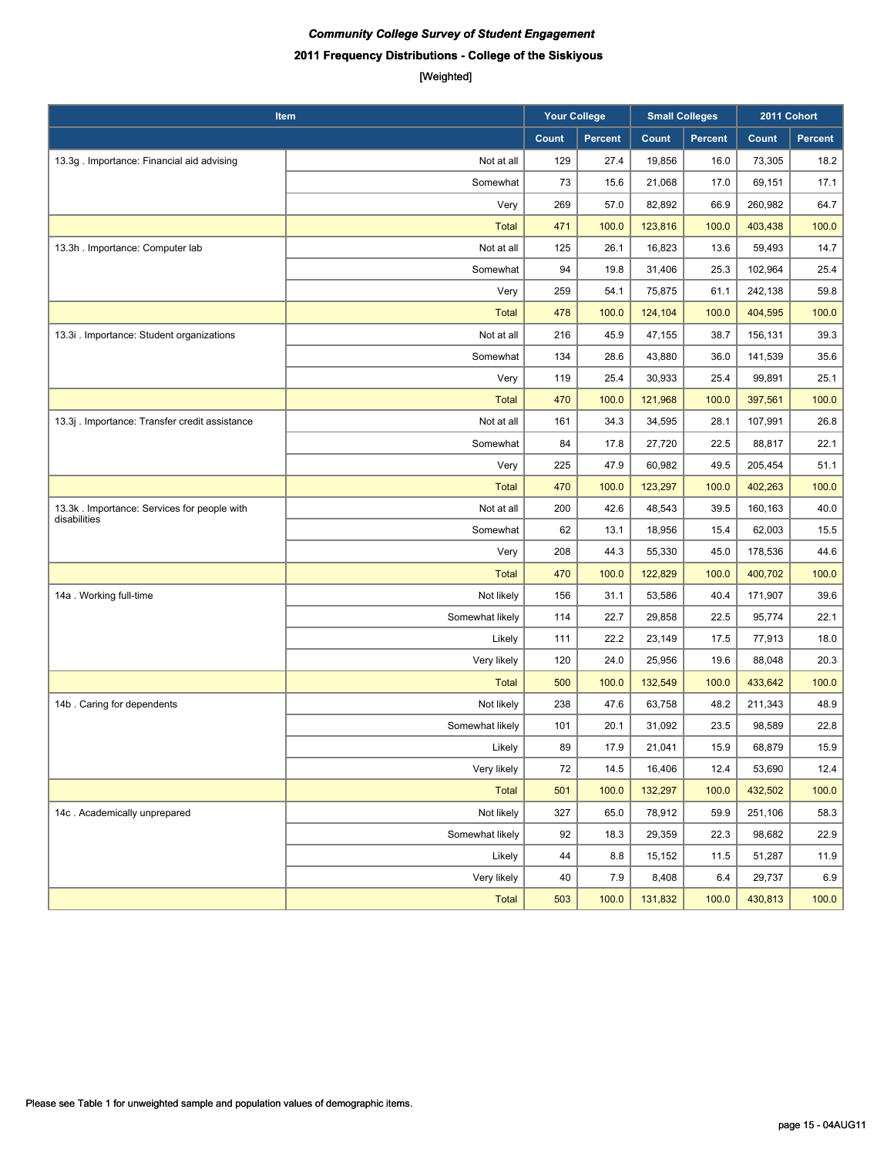| Item                                                        |                 | <b>Your College</b> |         | <b>Small Colleges</b> |                | 2011 Cohort  |         |
|-------------------------------------------------------------|-----------------|---------------------|---------|-----------------------|----------------|--------------|---------|
|                                                             |                 | Count               | Percent | Count                 | <b>Percent</b> | <b>Count</b> | Percent |
| 13.3g . Importance: Financial aid advising                  | Not at all      | 129                 | 27.4    | 19,856                | 16.0           | 73,305       | 18.2    |
|                                                             | Somewhat        | 73                  | 15.6    | 21,068                | 17.0           | 69,151       | 17.1    |
|                                                             | Very            | 269                 | 57.0    | 82,892                | 66.9           | 260,982      | 64.7    |
|                                                             | <b>Total</b>    | 471                 | 100.0   | 123,816               | 100.0          | 403,438      | 100.0   |
| 13.3h. Importance: Computer lab                             | Not at all      | 125                 | 26.1    | 16,823                | 13.6           | 59,493       | 14.7    |
|                                                             | Somewhat        | 94                  | 19.8    | 31,406                | 25.3           | 102,964      | 25.4    |
|                                                             | Very            | 259                 | 54.1    | 75,875                | 61.1           | 242,138      | 59.8    |
|                                                             | <b>Total</b>    | 478                 | 100.0   | 124,104               | 100.0          | 404,595      | 100.0   |
| 13.3i . Importance: Student organizations                   | Not at all      | 216                 | 45.9    | 47,155                | 38.7           | 156,131      | 39.3    |
|                                                             | Somewhat        | 134                 | 28.6    | 43,880                | 36.0           | 141,539      | 35.6    |
|                                                             | Very            | 119                 | 25.4    | 30,933                | 25.4           | 99,891       | 25.1    |
|                                                             | <b>Total</b>    | 470                 | 100.0   | 121,968               | 100.0          | 397,561      | 100.0   |
| 13.3j . Importance: Transfer credit assistance              | Not at all      | 161                 | 34.3    | 34,595                | 28.1           | 107,991      | 26.8    |
|                                                             | Somewhat        | 84                  | 17.8    | 27,720                | 22.5           | 88,817       | 22.1    |
|                                                             | Very            | 225                 | 47.9    | 60,982                | 49.5           | 205,454      | 51.1    |
|                                                             | <b>Total</b>    | 470                 | 100.0   | 123,297               | 100.0          | 402,263      | 100.0   |
| 13.3k. Importance: Services for people with<br>disabilities | Not at all      | 200                 | 42.6    | 48,543                | 39.5           | 160,163      | 40.0    |
|                                                             | Somewhat        | 62                  | 13.1    | 18,956                | 15.4           | 62,003       | 15.5    |
|                                                             | Very            | 208                 | 44.3    | 55,330                | 45.0           | 178,536      | 44.6    |
|                                                             | <b>Total</b>    | 470                 | 100.0   | 122,829               | 100.0          | 400,702      | 100.0   |
| 14a. Working full-time                                      | Not likely      | 156                 | 31.1    | 53,586                | 40.4           | 171,907      | 39.6    |
|                                                             | Somewhat likely | 114                 | 22.7    | 29,858                | 22.5           | 95,774       | 22.1    |
|                                                             | Likely          | 111                 | 22.2    | 23,149                | 17.5           | 77,913       | 18.0    |
|                                                             | Very likely     | 120                 | 24.0    | 25,956                | 19.6           | 88,048       | 20.3    |
|                                                             | <b>Total</b>    | 500                 | 100.0   | 132,549               | 100.0          | 433,642      | 100.0   |
| 14b. Caring for dependents                                  | Not likely      | 238                 | 47.6    | 63,758                | 48.2           | 211,343      | 48.9    |
|                                                             | Somewhat likely | 101                 | 20.1    | 31,092                | 23.5           | 98,589       | 22.8    |
|                                                             | Likely          | 89                  | 17.9    | 21,041                | 15.9           | 68,879       | 15.9    |
|                                                             | Very likely     | 72                  | 14.5    | 16,406                | 12.4           | 53,690       | 12.4    |
|                                                             | <b>Total</b>    | 501                 | 100.0   | 132,297               | 100.0          | 432,502      | 100.0   |
| 14c. Academically unprepared                                | Not likely      | 327                 | 65.0    | 78,912                | 59.9           | 251,106      | 58.3    |
|                                                             | Somewhat likely | 92                  | 18.3    | 29,359                | 22.3           | 98,682       | 22.9    |
|                                                             | Likely          | 44                  | 8.8     | 15,152                | 11.5           | 51,287       | 11.9    |
|                                                             | Very likely     | 40                  | 7.9     | 8,408                 | 6.4            | 29,737       | 6.9     |
|                                                             | <b>Total</b>    | 503                 | 100.0   | 131,832               | 100.0          | 430,813      | 100.0   |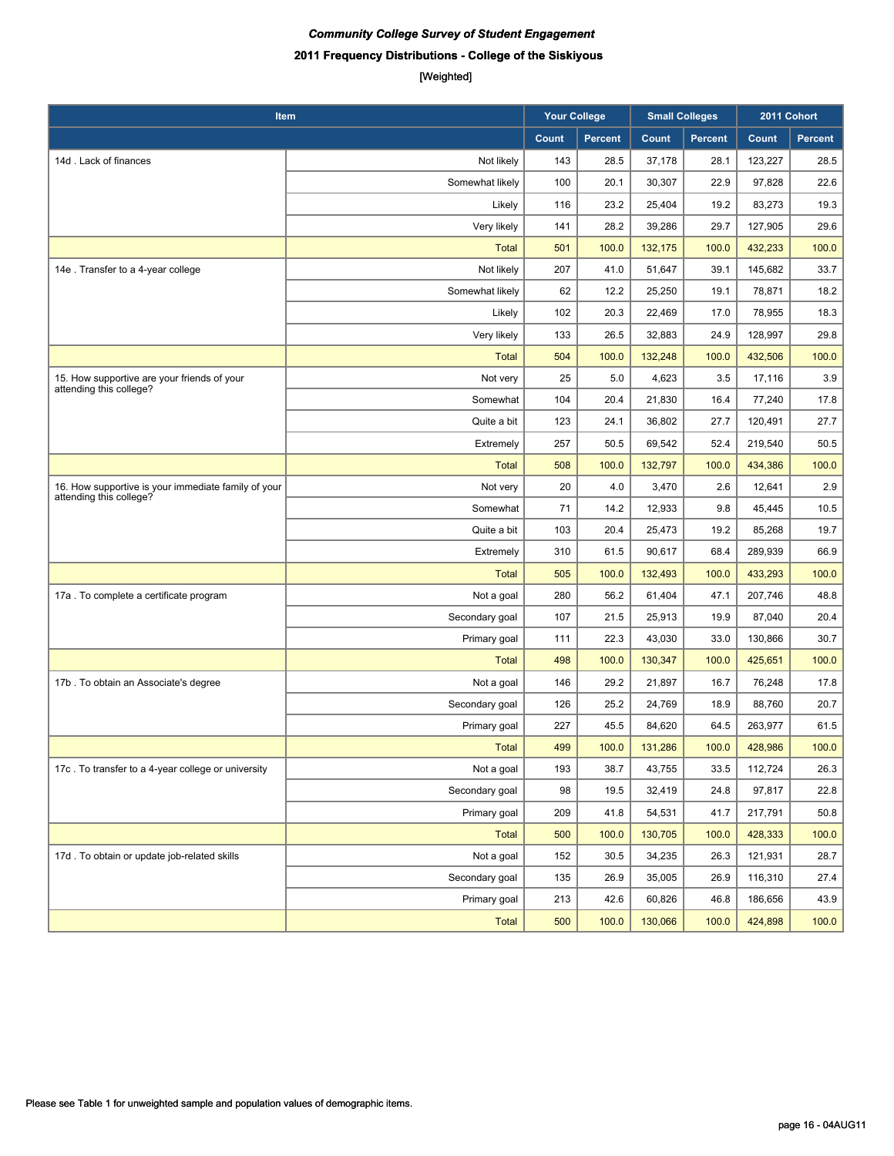| Item                                                                           |                 | <b>Your College</b> |                | <b>Small Colleges</b> |                | 2011 Cohort |                |
|--------------------------------------------------------------------------------|-----------------|---------------------|----------------|-----------------------|----------------|-------------|----------------|
|                                                                                |                 | Count               | <b>Percent</b> | Count                 | <b>Percent</b> | Count       | <b>Percent</b> |
| 14d. Lack of finances                                                          | Not likely      | 143                 | 28.5           | 37,178                | 28.1           | 123,227     | 28.5           |
|                                                                                | Somewhat likely | 100                 | 20.1           | 30,307                | 22.9           | 97,828      | 22.6           |
|                                                                                | Likely          | 116                 | 23.2           | 25,404                | 19.2           | 83,273      | 19.3           |
|                                                                                | Very likely     | 141                 | 28.2           | 39,286                | 29.7           | 127,905     | 29.6           |
|                                                                                | <b>Total</b>    | 501                 | 100.0          | 132,175               | 100.0          | 432,233     | 100.0          |
| 14e. Transfer to a 4-year college                                              | Not likely      | 207                 | 41.0           | 51,647                | 39.1           | 145,682     | 33.7           |
|                                                                                | Somewhat likely | 62                  | 12.2           | 25,250                | 19.1           | 78,871      | 18.2           |
|                                                                                | Likely          | 102                 | 20.3           | 22,469                | 17.0           | 78,955      | 18.3           |
|                                                                                | Very likely     | 133                 | 26.5           | 32,883                | 24.9           | 128,997     | 29.8           |
|                                                                                | <b>Total</b>    | 504                 | 100.0          | 132,248               | 100.0          | 432,506     | 100.0          |
| 15. How supportive are your friends of your<br>attending this college?         | Not very        | 25                  | 5.0            | 4,623                 | 3.5            | 17,116      | 3.9            |
|                                                                                | Somewhat        | 104                 | 20.4           | 21,830                | 16.4           | 77,240      | 17.8           |
|                                                                                | Quite a bit     | 123                 | 24.1           | 36,802                | 27.7           | 120,491     | 27.7           |
|                                                                                | Extremely       | 257                 | 50.5           | 69,542                | 52.4           | 219,540     | 50.5           |
|                                                                                | <b>Total</b>    | 508                 | 100.0          | 132,797               | 100.0          | 434,386     | 100.0          |
| 16. How supportive is your immediate family of your<br>attending this college? | Not very        | 20                  | 4.0            | 3,470                 | 2.6            | 12,641      | 2.9            |
|                                                                                | Somewhat        | 71                  | 14.2           | 12,933                | 9.8            | 45,445      | 10.5           |
|                                                                                | Quite a bit     | 103                 | 20.4           | 25,473                | 19.2           | 85,268      | 19.7           |
|                                                                                | Extremely       | 310                 | 61.5           | 90,617                | 68.4           | 289,939     | 66.9           |
|                                                                                | <b>Total</b>    | 505                 | 100.0          | 132,493               | 100.0          | 433,293     | 100.0          |
| 17a . To complete a certificate program                                        | Not a goal      | 280                 | 56.2           | 61,404                | 47.1           | 207,746     | 48.8           |
|                                                                                | Secondary goal  | 107                 | 21.5           | 25,913                | 19.9           | 87,040      | 20.4           |
|                                                                                | Primary goal    | 111                 | 22.3           | 43,030                | 33.0           | 130,866     | 30.7           |
|                                                                                | <b>Total</b>    | 498                 | 100.0          | 130,347               | 100.0          | 425,651     | 100.0          |
| 17b. To obtain an Associate's degree                                           | Not a goal      | 146                 | 29.2           | 21,897                | 16.7           | 76,248      | 17.8           |
|                                                                                | Secondary goal  | 126                 | 25.2           | 24,769                | 18.9           | 88,760      | 20.7           |
|                                                                                | Primary goal    | 227                 | 45.5           | 84,620                | 64.5           | 263,977     | 61.5           |
|                                                                                | <b>Total</b>    | 499                 | 100.0          | 131,286               | 100.0          | 428,986     | 100.0          |
| 17c. To transfer to a 4-year college or university                             | Not a goal      | 193                 | 38.7           | 43,755                | 33.5           | 112,724     | 26.3           |
|                                                                                | Secondary goal  | 98                  | 19.5           | 32,419                | 24.8           | 97,817      | 22.8           |
|                                                                                | Primary goal    | 209                 | 41.8           | 54,531                | 41.7           | 217,791     | 50.8           |
|                                                                                | <b>Total</b>    | 500                 | 100.0          | 130,705               | 100.0          | 428,333     | 100.0          |
| 17d. To obtain or update job-related skills                                    | Not a goal      | 152                 | 30.5           | 34,235                | 26.3           | 121,931     | 28.7           |
|                                                                                | Secondary goal  | 135                 | 26.9           | 35,005                | 26.9           | 116,310     | 27.4           |
|                                                                                | Primary goal    | 213                 | 42.6           | 60,826                | 46.8           | 186,656     | 43.9           |
|                                                                                | <b>Total</b>    | 500                 | 100.0          | 130,066               | 100.0          | 424,898     | 100.0          |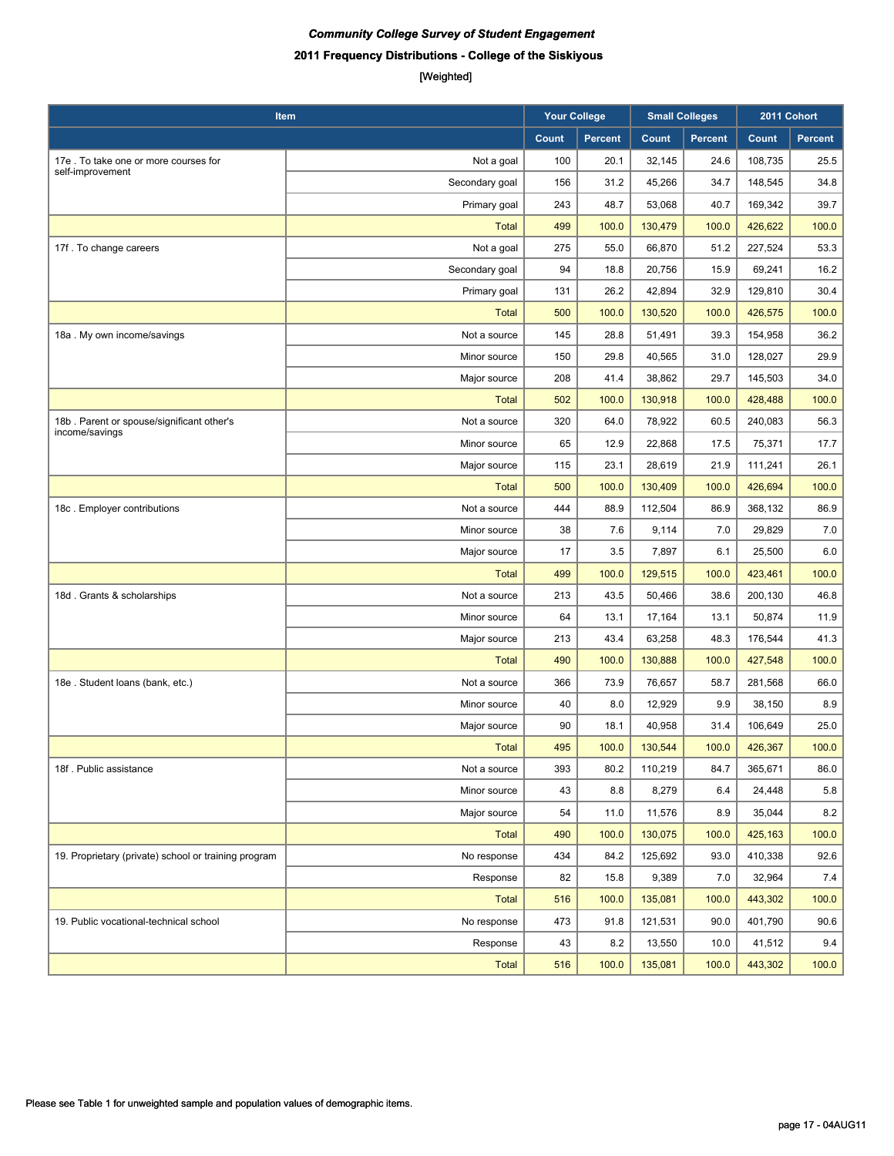| Item                                                 |                | <b>Your College</b> |                | <b>Small Colleges</b> |                |         | 2011 Cohort |
|------------------------------------------------------|----------------|---------------------|----------------|-----------------------|----------------|---------|-------------|
|                                                      |                | Count               | <b>Percent</b> | Count                 | <b>Percent</b> | Count   | Percent     |
| 17e . To take one or more courses for                | Not a goal     | 100                 | 20.1           | 32,145                | 24.6           | 108,735 | 25.5        |
| self-improvement                                     | Secondary goal | 156                 | 31.2           | 45,266                | 34.7           | 148,545 | 34.8        |
|                                                      | Primary goal   | 243                 | 48.7           | 53,068                | 40.7           | 169,342 | 39.7        |
|                                                      | <b>Total</b>   | 499                 | 100.0          | 130,479               | 100.0          | 426,622 | 100.0       |
| 17f. To change careers                               | Not a goal     | 275                 | 55.0           | 66,870                | 51.2           | 227,524 | 53.3        |
|                                                      | Secondary goal | 94                  | 18.8           | 20,756                | 15.9           | 69,241  | 16.2        |
|                                                      | Primary goal   | 131                 | 26.2           | 42,894                | 32.9           | 129,810 | 30.4        |
|                                                      | <b>Total</b>   | 500                 | 100.0          | 130,520               | 100.0          | 426,575 | 100.0       |
| 18a. My own income/savings                           | Not a source   | 145                 | 28.8           | 51,491                | 39.3           | 154,958 | 36.2        |
|                                                      | Minor source   | 150                 | 29.8           | 40,565                | 31.0           | 128,027 | 29.9        |
|                                                      | Major source   | 208                 | 41.4           | 38,862                | 29.7           | 145,503 | 34.0        |
|                                                      | <b>Total</b>   | 502                 | 100.0          | 130,918               | 100.0          | 428,488 | 100.0       |
| 18b. Parent or spouse/significant other's            | Not a source   | 320                 | 64.0           | 78,922                | 60.5           | 240,083 | 56.3        |
| income/savings                                       | Minor source   | 65                  | 12.9           | 22,868                | 17.5           | 75,371  | 17.7        |
|                                                      | Major source   | 115                 | 23.1           | 28,619                | 21.9           | 111,241 | 26.1        |
|                                                      | <b>Total</b>   | 500                 | 100.0          | 130,409               | 100.0          | 426,694 | 100.0       |
| 18c. Employer contributions                          | Not a source   | 444                 | 88.9           | 112,504               | 86.9           | 368,132 | 86.9        |
|                                                      | Minor source   | 38                  | 7.6            | 9,114                 | 7.0            | 29,829  | 7.0         |
|                                                      | Major source   | 17                  | 3.5            | 7,897                 | 6.1            | 25,500  | 6.0         |
|                                                      | <b>Total</b>   | 499                 | 100.0          | 129,515               | 100.0          | 423,461 | 100.0       |
| 18d. Grants & scholarships                           | Not a source   | 213                 | 43.5           | 50,466                | 38.6           | 200,130 | 46.8        |
|                                                      | Minor source   | 64                  | 13.1           | 17,164                | 13.1           | 50,874  | 11.9        |
|                                                      | Major source   | 213                 | 43.4           | 63,258                | 48.3           | 176,544 | 41.3        |
|                                                      | <b>Total</b>   | 490                 | 100.0          | 130,888               | 100.0          | 427,548 | 100.0       |
| 18e. Student loans (bank, etc.)                      | Not a source   | 366                 | 73.9           | 76,657                | 58.7           | 281,568 | 66.0        |
|                                                      | Minor source   | 40                  | 8.0            | 12,929                | 9.9            | 38,150  | 8.9         |
|                                                      | Major source   | 90                  | 18.1           | 40,958                | 31.4           | 106,649 | 25.0        |
|                                                      | <b>Total</b>   | 495                 | 100.0          | 130,544               | 100.0          | 426,367 | 100.0       |
| 18f. Public assistance                               | Not a source   | 393                 | 80.2           | 110,219               | 84.7           | 365,671 | 86.0        |
|                                                      | Minor source   | 43                  | 8.8            | 8,279                 | 6.4            | 24,448  | 5.8         |
|                                                      | Major source   | 54                  | 11.0           | 11,576                | 8.9            | 35,044  | 8.2         |
|                                                      | <b>Total</b>   | 490                 | 100.0          | 130,075               | 100.0          | 425,163 | 100.0       |
| 19. Proprietary (private) school or training program | No response    | 434                 | 84.2           | 125,692               | 93.0           | 410,338 | 92.6        |
|                                                      | Response       | 82                  | 15.8           | 9,389                 | 7.0            | 32,964  | 7.4         |
|                                                      | <b>Total</b>   | 516                 | 100.0          | 135,081               | 100.0          | 443,302 | 100.0       |
| 19. Public vocational-technical school               | No response    | 473                 | 91.8           | 121,531               | 90.0           | 401,790 | 90.6        |
|                                                      | Response       | 43                  | 8.2            | 13,550                | 10.0           | 41,512  | 9.4         |
|                                                      | Total          | 516                 | 100.0          | 135,081               | 100.0          | 443,302 | 100.0       |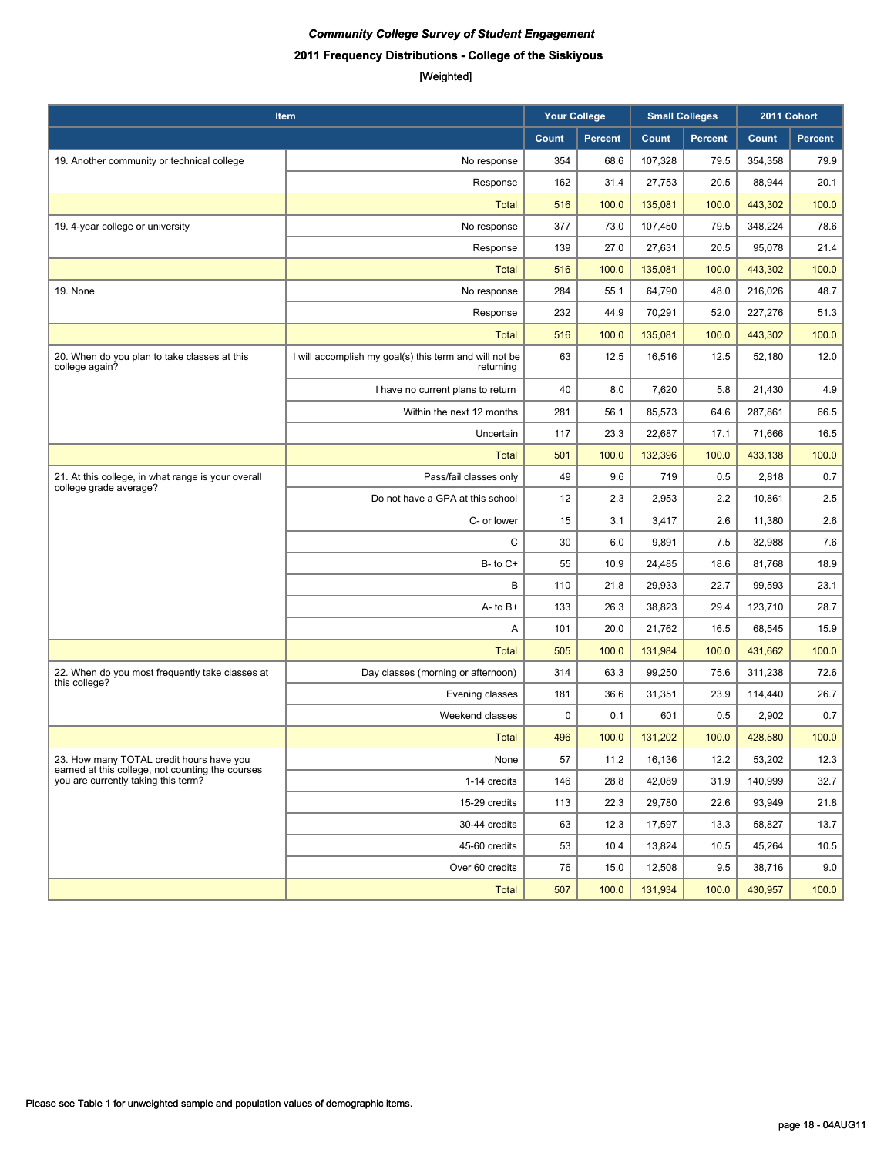| Item                                                                                         |                                                                     | <b>Your College</b> |                | <b>Small Colleges</b> |                | 2011 Cohort |         |
|----------------------------------------------------------------------------------------------|---------------------------------------------------------------------|---------------------|----------------|-----------------------|----------------|-------------|---------|
|                                                                                              |                                                                     | Count               | <b>Percent</b> | Count                 | <b>Percent</b> | Count       | Percent |
| 19. Another community or technical college                                                   | No response                                                         | 354                 | 68.6           | 107,328               | 79.5           | 354,358     | 79.9    |
|                                                                                              | Response                                                            | 162                 | 31.4           | 27,753                | 20.5           | 88,944      | 20.1    |
|                                                                                              | <b>Total</b>                                                        | 516                 | 100.0          | 135,081               | 100.0          | 443,302     | 100.0   |
| 19. 4-year college or university                                                             | No response                                                         | 377                 | 73.0           | 107,450               | 79.5           | 348,224     | 78.6    |
|                                                                                              | Response                                                            | 139                 | 27.0           | 27,631                | 20.5           | 95,078      | 21.4    |
|                                                                                              | <b>Total</b>                                                        | 516                 | 100.0          | 135,081               | 100.0          | 443,302     | 100.0   |
| 19. None                                                                                     | No response                                                         | 284                 | 55.1           | 64,790                | 48.0           | 216,026     | 48.7    |
|                                                                                              | Response                                                            | 232                 | 44.9           | 70,291                | 52.0           | 227,276     | 51.3    |
|                                                                                              | <b>Total</b>                                                        | 516                 | 100.0          | 135,081               | 100.0          | 443,302     | 100.0   |
| 20. When do you plan to take classes at this<br>college again?                               | I will accomplish my goal(s) this term and will not be<br>returning | 63                  | 12.5           | 16,516                | 12.5           | 52,180      | 12.0    |
|                                                                                              | I have no current plans to return                                   | 40                  | 8.0            | 7,620                 | 5.8            | 21,430      | 4.9     |
|                                                                                              | Within the next 12 months                                           | 281                 | 56.1           | 85,573                | 64.6           | 287,861     | 66.5    |
|                                                                                              | Uncertain                                                           | 117                 | 23.3           | 22,687                | 17.1           | 71,666      | 16.5    |
|                                                                                              | <b>Total</b>                                                        | 501                 | 100.0          | 132,396               | 100.0          | 433,138     | 100.0   |
| 21. At this college, in what range is your overall<br>college grade average?                 | Pass/fail classes only                                              | 49                  | 9.6            | 719                   | 0.5            | 2,818       | 0.7     |
|                                                                                              | Do not have a GPA at this school                                    | 12                  | 2.3            | 2,953                 | 2.2            | 10,861      | 2.5     |
|                                                                                              | C- or lower                                                         | 15                  | 3.1            | 3,417                 | 2.6            | 11,380      | 2.6     |
|                                                                                              | C                                                                   | 30                  | 6.0            | 9,891                 | 7.5            | 32,988      | 7.6     |
|                                                                                              | $B - to C +$                                                        | 55                  | 10.9           | 24,485                | 18.6           | 81,768      | 18.9    |
|                                                                                              | B                                                                   | 110                 | 21.8           | 29,933                | 22.7           | 99,593      | 23.1    |
|                                                                                              | $A - to B +$                                                        | 133                 | 26.3           | 38,823                | 29.4           | 123,710     | 28.7    |
|                                                                                              | Α                                                                   | 101                 | 20.0           | 21,762                | 16.5           | 68,545      | 15.9    |
|                                                                                              | <b>Total</b>                                                        | 505                 | 100.0          | 131,984               | 100.0          | 431,662     | 100.0   |
| 22. When do you most frequently take classes at<br>this college?                             | Day classes (morning or afternoon)                                  | 314                 | 63.3           | 99,250                | 75.6           | 311,238     | 72.6    |
|                                                                                              | Evening classes                                                     | 181                 | 36.6           | 31,351                | 23.9           | 114,440     | 26.7    |
|                                                                                              | Weekend classes                                                     | $\mathbf 0$         | 0.1            | 601                   | 0.5            | 2,902       | 0.7     |
|                                                                                              | Total                                                               | 496                 | 100.0          | 131,202               | 100.0          | 428,580     | 100.0   |
| 23. How many TOTAL credit hours have you<br>earned at this college, not counting the courses | None                                                                | 57                  | 11.2           | 16,136                | 12.2           | 53,202      | 12.3    |
| you are currently taking this term?                                                          | 1-14 credits                                                        | 146                 | 28.8           | 42,089                | 31.9           | 140,999     | 32.7    |
|                                                                                              | 15-29 credits                                                       | 113                 | 22.3           | 29,780                | 22.6           | 93,949      | 21.8    |
|                                                                                              | 30-44 credits                                                       | 63                  | 12.3           | 17,597                | 13.3           | 58,827      | 13.7    |
|                                                                                              | 45-60 credits                                                       | 53                  | 10.4           | 13,824                | 10.5           | 45,264      | 10.5    |
|                                                                                              | Over 60 credits                                                     | 76                  | 15.0           | 12,508                | 9.5            | 38,716      | 9.0     |
|                                                                                              | <b>Total</b>                                                        | 507                 | 100.0          | 131,934               | 100.0          | 430,957     | 100.0   |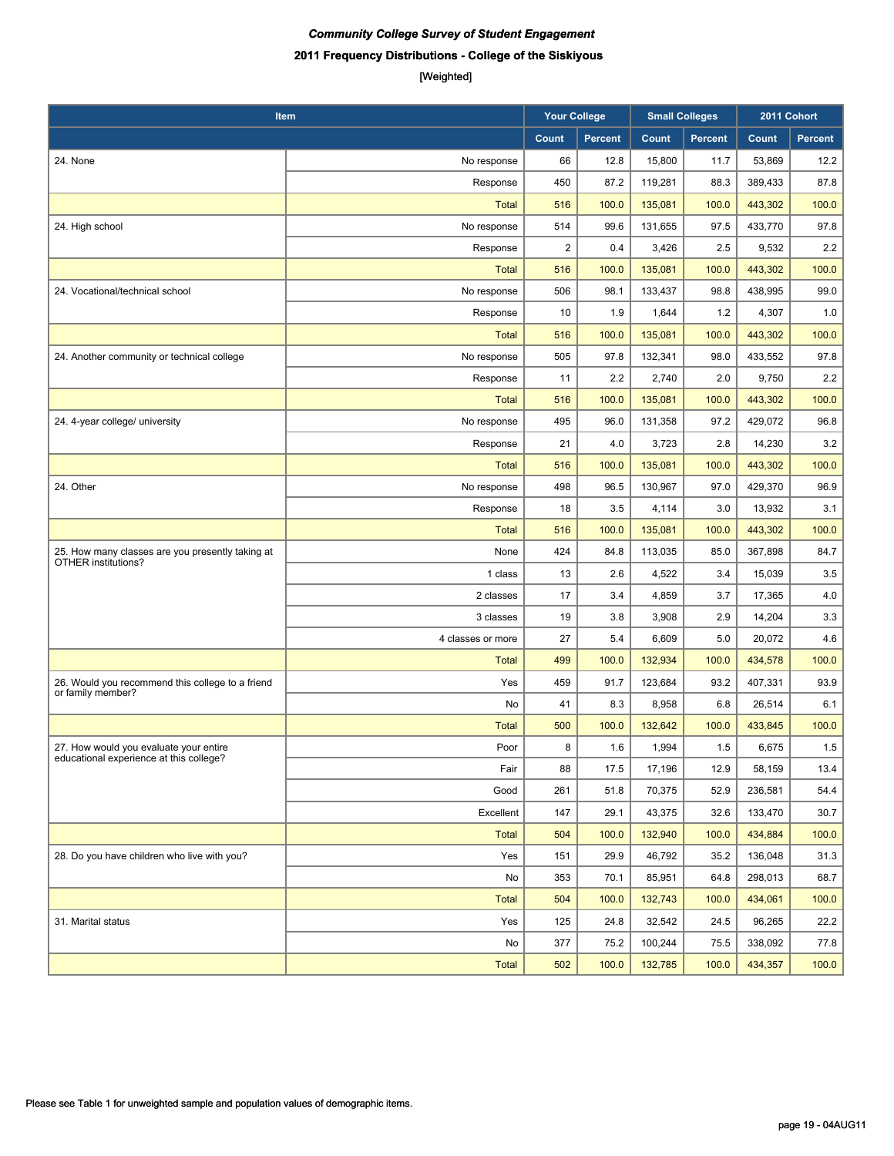| Item                                                                              |                   | <b>Your College</b> |                | <b>Small Colleges</b> |                | 2011 Cohort |                |
|-----------------------------------------------------------------------------------|-------------------|---------------------|----------------|-----------------------|----------------|-------------|----------------|
|                                                                                   |                   | Count               | <b>Percent</b> | Count                 | <b>Percent</b> | Count       | <b>Percent</b> |
| 24. None                                                                          | No response       | 66                  | 12.8           | 15,800                | 11.7           | 53,869      | 12.2           |
|                                                                                   | Response          | 450                 | 87.2           | 119,281               | 88.3           | 389,433     | 87.8           |
|                                                                                   | <b>Total</b>      | 516                 | 100.0          | 135,081               | 100.0          | 443,302     | 100.0          |
| 24. High school                                                                   | No response       | 514                 | 99.6           | 131,655               | 97.5           | 433,770     | 97.8           |
|                                                                                   | Response          | 2                   | 0.4            | 3,426                 | 2.5            | 9,532       | 2.2            |
|                                                                                   | <b>Total</b>      | 516                 | 100.0          | 135,081               | 100.0          | 443,302     | 100.0          |
| 24. Vocational/technical school                                                   | No response       | 506                 | 98.1           | 133,437               | 98.8           | 438,995     | 99.0           |
|                                                                                   | Response          | 10                  | 1.9            | 1,644                 | $1.2$          | 4,307       | 1.0            |
|                                                                                   | <b>Total</b>      | 516                 | 100.0          | 135,081               | 100.0          | 443,302     | 100.0          |
| 24. Another community or technical college                                        | No response       | 505                 | 97.8           | 132,341               | 98.0           | 433,552     | 97.8           |
|                                                                                   | Response          | 11                  | 2.2            | 2,740                 | 2.0            | 9,750       | 2.2            |
|                                                                                   | <b>Total</b>      | 516                 | 100.0          | 135,081               | 100.0          | 443,302     | 100.0          |
| 24. 4-year college/ university                                                    | No response       | 495                 | 96.0           | 131,358               | 97.2           | 429,072     | 96.8           |
|                                                                                   | Response          | 21                  | 4.0            | 3,723                 | 2.8            | 14,230      | 3.2            |
|                                                                                   | <b>Total</b>      | 516                 | 100.0          | 135,081               | 100.0          | 443,302     | 100.0          |
| 24. Other                                                                         | No response       | 498                 | 96.5           | 130,967               | 97.0           | 429,370     | 96.9           |
|                                                                                   | Response          | 18                  | 3.5            | 4,114                 | 3.0            | 13,932      | 3.1            |
|                                                                                   | <b>Total</b>      | 516                 | 100.0          | 135,081               | 100.0          | 443,302     | 100.0          |
| 25. How many classes are you presently taking at<br>OTHER institutions?           | None              | 424                 | 84.8           | 113,035               | 85.0           | 367,898     | 84.7           |
|                                                                                   | 1 class           | 13                  | 2.6            | 4,522                 | 3.4            | 15,039      | 3.5            |
|                                                                                   | 2 classes         | 17                  | 3.4            | 4,859                 | 3.7            | 17,365      | 4.0            |
|                                                                                   | 3 classes         | 19                  | 3.8            | 3,908                 | 2.9            | 14,204      | 3.3            |
|                                                                                   | 4 classes or more | 27                  | 5.4            | 6,609                 | 5.0            | 20,072      | 4.6            |
|                                                                                   | <b>Total</b>      | 499                 | 100.0          | 132,934               | 100.0          | 434,578     | 100.0          |
| 26. Would you recommend this college to a friend                                  | Yes               | 459                 | 91.7           | 123,684               | 93.2           | 407,331     | 93.9           |
| or family member?                                                                 | No                | 41                  | 8.3            | 8,958                 | 6.8            | 26,514      | 6.1            |
|                                                                                   | <b>Total</b>      | 500                 | 100.0          | 132,642               | 100.0          | 433,845     | 100.0          |
| 27. How would you evaluate your entire<br>educational experience at this college? | Poor              | 8                   | 1.6            | 1,994                 | 1.5            | 6,675       | 1.5            |
|                                                                                   | Fair              | 88                  | 17.5           | 17,196                | 12.9           | 58,159      | 13.4           |
|                                                                                   | Good              | 261                 | 51.8           | 70,375                | 52.9           | 236,581     | 54.4           |
|                                                                                   | Excellent         | 147                 | 29.1           | 43,375                | 32.6           | 133,470     | 30.7           |
|                                                                                   | <b>Total</b>      | 504                 | 100.0          | 132,940               | 100.0          | 434,884     | 100.0          |
| 28. Do you have children who live with you?                                       | Yes               | 151                 | 29.9           | 46,792                | 35.2           | 136,048     | 31.3           |
|                                                                                   | No                | 353                 | 70.1           | 85,951                | 64.8           | 298,013     | 68.7           |
|                                                                                   | <b>Total</b>      | 504                 | 100.0          | 132,743               | 100.0          | 434,061     | 100.0          |
| 31. Marital status                                                                | Yes               | 125                 | 24.8           | 32,542                | 24.5           | 96,265      | 22.2           |
|                                                                                   | No                | 377                 | 75.2           | 100,244               | 75.5           | 338,092     | 77.8           |
|                                                                                   | Total             | 502                 | 100.0          | 132,785               | 100.0          | 434,357     | 100.0          |